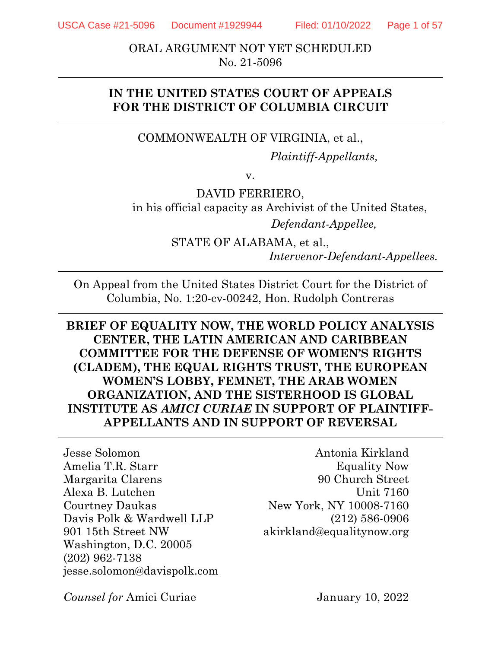USCA Case #21-5096 Document #1929944 Filed: 01/10/2022 Page 1 of 57

ORAL ARGUMENT NOT YET SCHEDULED No. 21-5096

## **IN THE UNITED STATES COURT OF APPEALS FOR THE DISTRICT OF COLUMBIA CIRCUIT**

## COMMONWEALTH OF VIRGINIA, et al.,

*Plaintiff-Appellants,* 

v.

DAVID FERRIERO, in his official capacity as Archivist of the United States, *Defendant-Appellee,* 

> STATE OF ALABAMA, et al., *Intervenor-Defendant-Appellees.*

On Appeal from the United States District Court for the District of Columbia, No. 1:20-cv-00242, Hon. Rudolph Contreras

## **BRIEF OF EQUALITY NOW, THE WORLD POLICY ANALYSIS CENTER, THE LATIN AMERICAN AND CARIBBEAN COMMITTEE FOR THE DEFENSE OF WOMEN'S RIGHTS (CLADEM), THE EQUAL RIGHTS TRUST, THE EUROPEAN WOMEN'S LOBBY, FEMNET, THE ARAB WOMEN ORGANIZATION, AND THE SISTERHOOD IS GLOBAL INSTITUTE AS** *AMICI CURIAE* **IN SUPPORT OF PLAINTIFF-APPELLANTS AND IN SUPPORT OF REVERSAL**

Jesse Solomon Amelia T.R. Starr Margarita Clarens Alexa B. Lutchen Courtney Daukas Davis Polk & Wardwell LLP 901 15th Street NW Washington, D.C. 20005 (202) 962-7138 jesse.solomon@davispolk.com

Antonia Kirkland Equality Now 90 Church Street Unit 7160 New York, NY 10008-7160 (212) 586-0906 akirkland@equalitynow.org

*Counsel for* Amici Curiae

January 10, 2022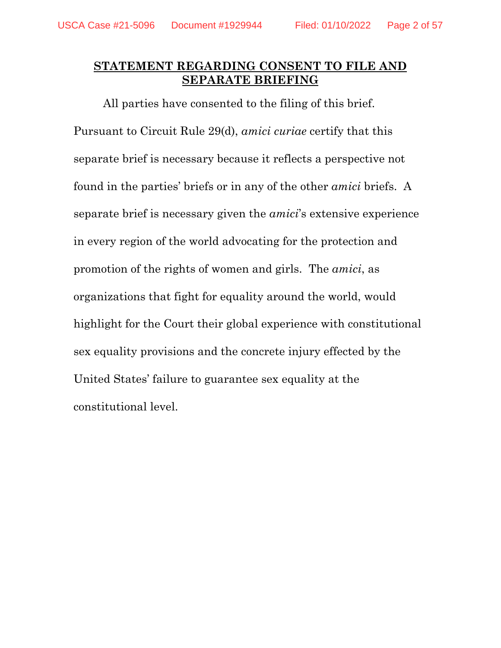## **STATEMENT REGARDING CONSENT TO FILE AND SEPARATE BRIEFING**

All parties have consented to the filing of this brief. Pursuant to Circuit Rule 29(d), *amici curiae* certify that this separate brief is necessary because it reflects a perspective not found in the parties' briefs or in any of the other *amici* briefs. A separate brief is necessary given the *amici*'s extensive experience in every region of the world advocating for the protection and promotion of the rights of women and girls. The *amici*, as organizations that fight for equality around the world, would highlight for the Court their global experience with constitutional sex equality provisions and the concrete injury effected by the United States' failure to guarantee sex equality at the constitutional level.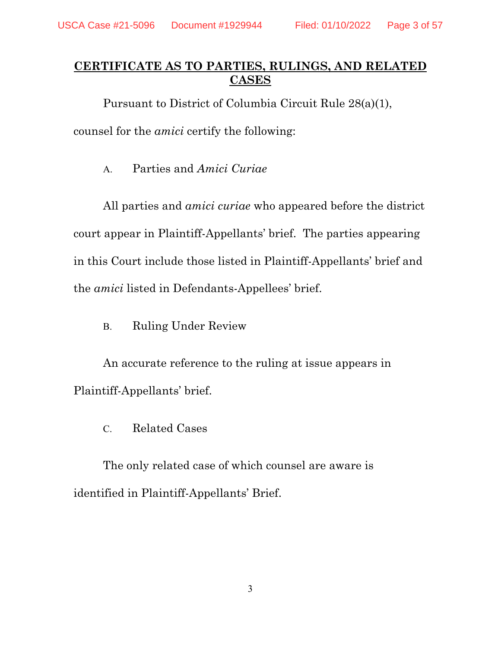## **CERTIFICATE AS TO PARTIES, RULINGS, AND RELATED CASES**

Pursuant to District of Columbia Circuit Rule 28(a)(1),

counsel for the *amici* certify the following:

A. Parties and *Amici Curiae*

All parties and *amici curiae* who appeared before the district court appear in Plaintiff-Appellants' brief. The parties appearing in this Court include those listed in Plaintiff-Appellants' brief and the *amici* listed in Defendants-Appellees' brief.

B. Ruling Under Review

An accurate reference to the ruling at issue appears in Plaintiff-Appellants' brief.

C. Related Cases

The only related case of which counsel are aware is identified in Plaintiff-Appellants' Brief.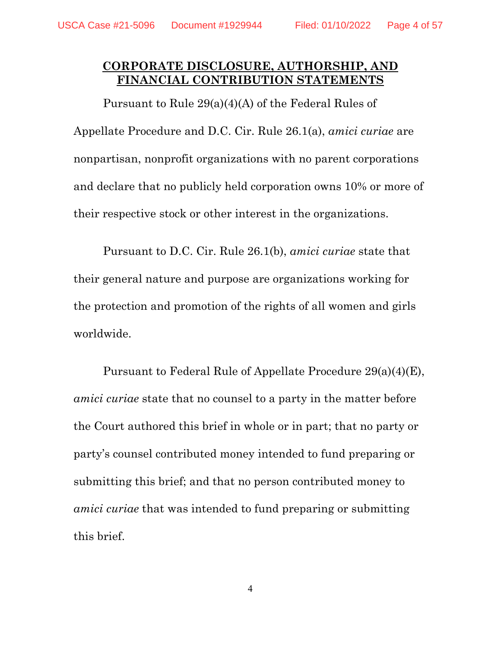## **CORPORATE DISCLOSURE, AUTHORSHIP, AND FINANCIAL CONTRIBUTION STATEMENTS**

Pursuant to Rule 29(a)(4)(A) of the Federal Rules of Appellate Procedure and D.C. Cir. Rule 26.1(a), *amici curiae* are nonpartisan, nonprofit organizations with no parent corporations and declare that no publicly held corporation owns 10% or more of their respective stock or other interest in the organizations.

Pursuant to D.C. Cir. Rule 26.1(b), *amici curiae* state that their general nature and purpose are organizations working for the protection and promotion of the rights of all women and girls worldwide.

Pursuant to Federal Rule of Appellate Procedure 29(a)(4)(E), *amici curiae* state that no counsel to a party in the matter before the Court authored this brief in whole or in part; that no party or party's counsel contributed money intended to fund preparing or submitting this brief; and that no person contributed money to *amici curiae* that was intended to fund preparing or submitting this brief.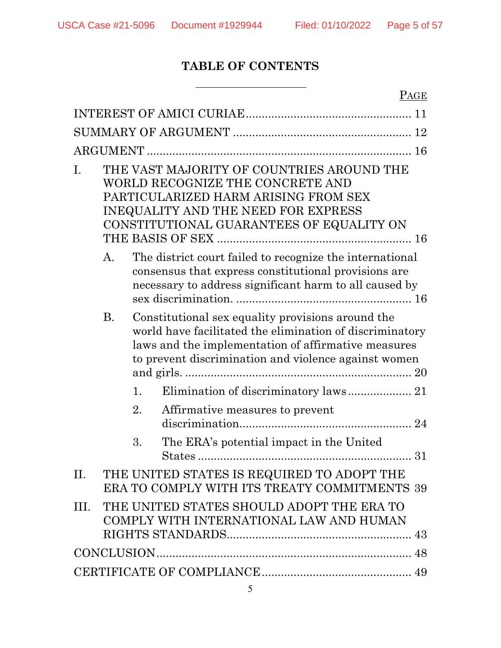# **TABLE OF CONTENTS**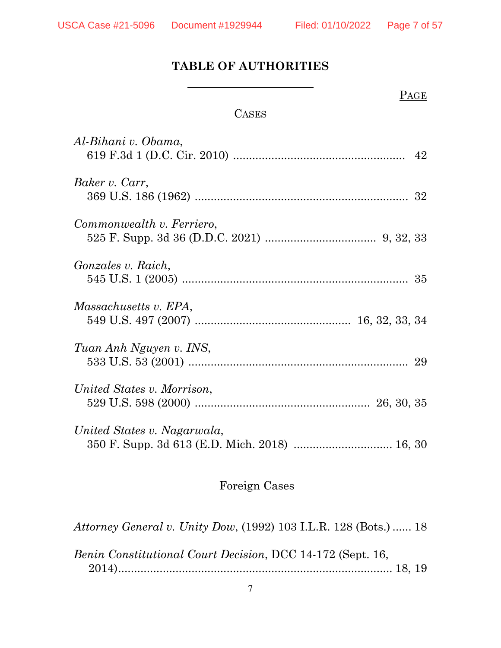# **TABLE OF AUTHORITIES**

## PAGE

## **CASES**

| Al-Bihani v. Obama,         |  |
|-----------------------------|--|
| Baker v. Carr,              |  |
| Commonwealth v. Ferriero,   |  |
| <i>Gonzales v. Raich,</i>   |  |
| Massachusetts v. EPA,       |  |
| Tuan Anh Nguyen v. INS,     |  |
| United States v. Morrison,  |  |
| United States v. Nagarwala, |  |

# Foreign Cases

*Attorney General v. Unity Dow*, (1992) 103 I.L.R. 128 (Bots.) ...... 18

| Benin Constitutional Court Decision, DCC 14-172 (Sept. 16, |  |
|------------------------------------------------------------|--|
|                                                            |  |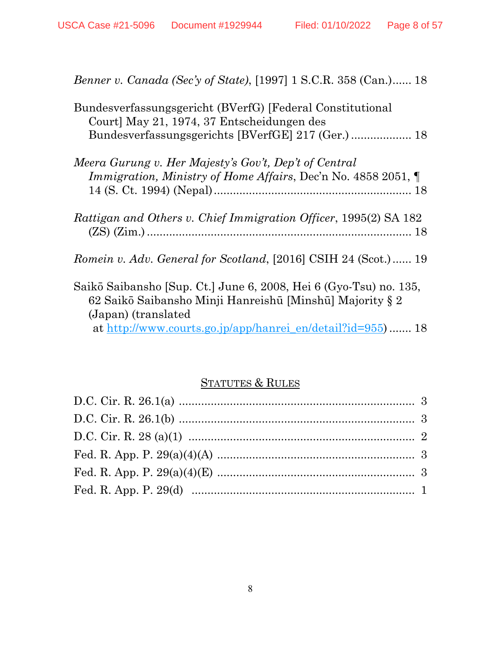| <i>Benner v. Canada (Sec'y of State)</i> , [1997] 1 S.C.R. 358 (Can.) 18                                                                              |
|-------------------------------------------------------------------------------------------------------------------------------------------------------|
| Bundesverfassungsgericht (BVerfG) [Federal Constitutional<br>Court] May 21, 1974, 37 Entscheidungen des                                               |
|                                                                                                                                                       |
| Meera Gurung v. Her Majesty's Gov't, Dep't of Central                                                                                                 |
| <i>Immigration, Ministry of Home Affairs, Dec'n No. 4858 2051,</i>                                                                                    |
| Rattigan and Others v. Chief Immigration Officer, 1995(2) SA 182                                                                                      |
| Romein v. Adv. General for Scotland, [2016] CSIH 24 (Scot.)  19                                                                                       |
| Saikō Saibansho [Sup. Ct.] June 6, 2008, Hei 6 (Gyo-Tsu) no. 135,<br>62 Saikō Saibansho Minji Hanreishū [Minshū] Majority § 2<br>(Japan) (translated) |
| at http://www.courts.go.jp/app/hanrei en/detail?id=955) 18                                                                                            |

# STATUTES & RULES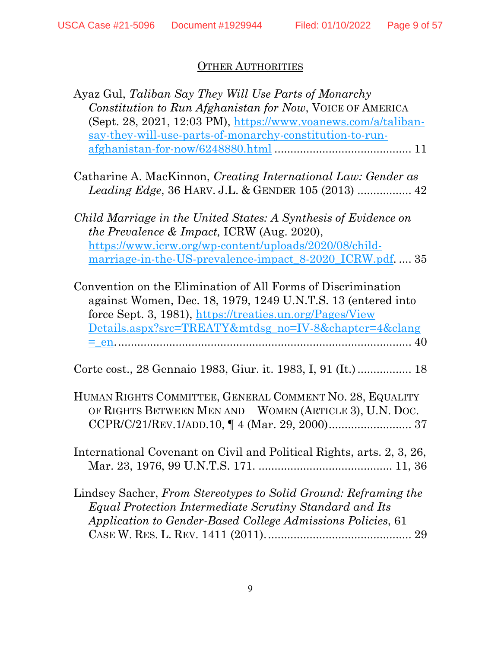# **OTHER AUTHORITIES**

| Ayaz Gul, Taliban Say They Will Use Parts of Monarchy                    |
|--------------------------------------------------------------------------|
| Constitution to Run Afghanistan for Now, VOICE OF AMERICA                |
| (Sept. 28, 2021, 12:03 PM), https://www.voanews.com/a/taliban-           |
| say-they-will-use-parts-of-monarchy-constitution-to-run-                 |
|                                                                          |
|                                                                          |
| Catharine A. MacKinnon, Creating International Law: Gender as            |
|                                                                          |
|                                                                          |
| Child Marriage in the United States: A Synthesis of Evidence on          |
| the Prevalence & Impact, ICRW (Aug. 2020),                               |
|                                                                          |
| https://www.icrw.org/wp-content/uploads/2020/08/child-                   |
| marriage-in-the-US-prevalence-impact_8-2020_ICRW.pdf.  35                |
|                                                                          |
| Convention on the Elimination of All Forms of Discrimination             |
| against Women, Dec. 18, 1979, 1249 U.N.T.S. 13 (entered into             |
| force Sept. 3, 1981), https://treaties.un.org/Pages/View                 |
| <u>Details.aspx?src=TREATY&amp;mtdsg_no=IV-8&amp;chapter=4&amp;clang</u> |
|                                                                          |
|                                                                          |
| Corte cost., 28 Gennaio 1983, Giur. it. 1983, I, 91 (It.)  18            |
|                                                                          |
| HUMAN RIGHTS COMMITTEE, GENERAL COMMENT NO. 28, EQUALITY                 |
| OF RIGHTS BETWEEN MEN AND WOMEN (ARTICLE 3), U.N. DOC.                   |
|                                                                          |
|                                                                          |
| International Covenant on Civil and Political Rights, arts. 2, 3, 26,    |
|                                                                          |
|                                                                          |
| Lindsey Sacher, From Stereotypes to Solid Ground: Reframing the          |
| Equal Protection Intermediate Scrutiny Standard and Its                  |
|                                                                          |
| Application to Gender-Based College Admissions Policies, 61              |
| 29                                                                       |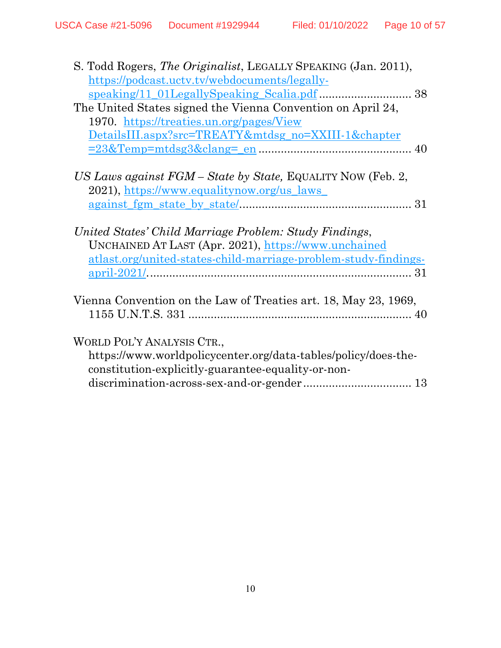| S. Todd Rogers, The Originalist, LEGALLY SPEAKING (Jan. 2011),  |
|-----------------------------------------------------------------|
| https://podcast.uctv.tv/webdocuments/legally-                   |
|                                                                 |
| The United States signed the Vienna Convention on April 24,     |
| 1970. https://treaties.un.org/pages/View                        |
| DetailsIII.aspx?src=TREATY&mtdsg_no=XXIII-1&chapter             |
|                                                                 |
|                                                                 |
| US Laws against FGM – State by State, EQUALITY NOW (Feb. 2,     |
| 2021), https://www.equalitynow.org/us laws                      |
|                                                                 |
|                                                                 |
| United States' Child Marriage Problem: Study Findings,          |
| UNCHAINED AT LAST (Apr. 2021), https://www.unchained            |
| atlast.org/united-states-child-marriage-problem-study-findings- |
|                                                                 |
|                                                                 |
| Vienna Convention on the Law of Treaties art. 18, May 23, 1969, |
|                                                                 |
|                                                                 |
| WORLD POL'Y ANALYSIS CTR.,                                      |
| https://www.worldpolicycenter.org/data-tables/policy/does-the-  |
| constitution-explicitly-guarantee-equality-or-non-              |
|                                                                 |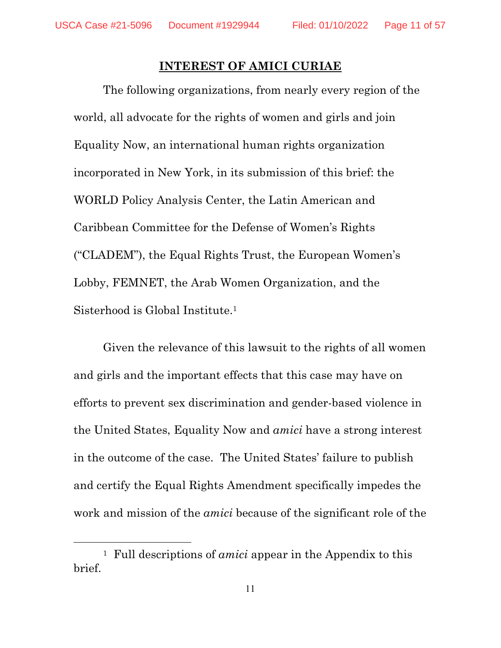$\overline{a}$ 

#### **INTEREST OF AMICI CURIAE**

The following organizations, from nearly every region of the world, all advocate for the rights of women and girls and join Equality Now, an international human rights organization incorporated in New York, in its submission of this brief: the WORLD Policy Analysis Center, the Latin American and Caribbean Committee for the Defense of Women's Rights ("CLADEM"), the Equal Rights Trust, the European Women's Lobby, FEMNET, the Arab Women Organization, and the Sisterhood is Global Institute.1

Given the relevance of this lawsuit to the rights of all women and girls and the important effects that this case may have on efforts to prevent sex discrimination and gender-based violence in the United States, Equality Now and *amici* have a strong interest in the outcome of the case. The United States' failure to publish and certify the Equal Rights Amendment specifically impedes the work and mission of the *amici* because of the significant role of the

<sup>1</sup> Full descriptions of *amici* appear in the Appendix to this brief.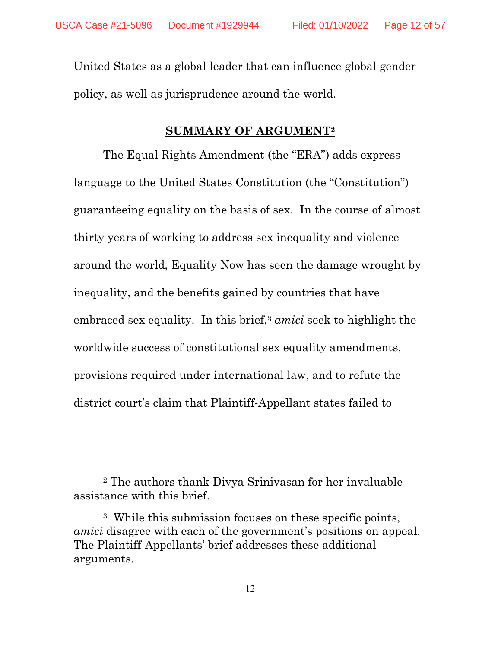United States as a global leader that can influence global gender policy, as well as jurisprudence around the world.

#### **SUMMARY OF ARGUMENT2**

The Equal Rights Amendment (the "ERA") adds express language to the United States Constitution (the "Constitution") guaranteeing equality on the basis of sex. In the course of almost thirty years of working to address sex inequality and violence around the world, Equality Now has seen the damage wrought by inequality, and the benefits gained by countries that have embraced sex equality. In this brief,<sup>3</sup> *amici* seek to highlight the worldwide success of constitutional sex equality amendments, provisions required under international law, and to refute the district court's claim that Plaintiff-Appellant states failed to

<sup>2</sup> The authors thank Divya Srinivasan for her invaluable assistance with this brief.

<sup>3</sup> While this submission focuses on these specific points, *amici* disagree with each of the government's positions on appeal. The Plaintiff-Appellants' brief addresses these additional arguments.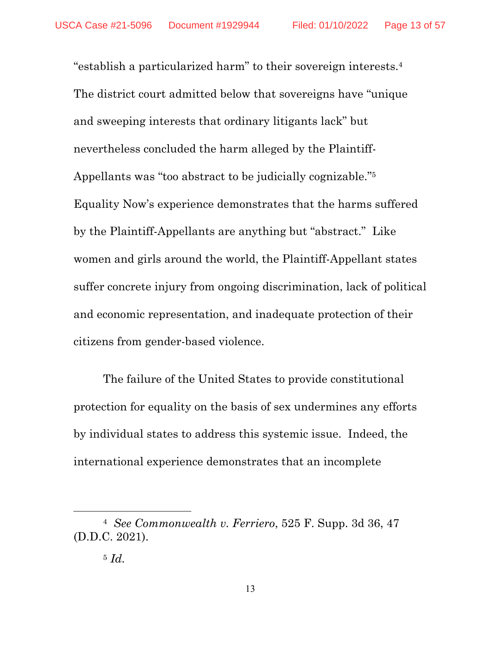"establish a particularized harm" to their sovereign interests.4 The district court admitted below that sovereigns have "unique and sweeping interests that ordinary litigants lack" but nevertheless concluded the harm alleged by the Plaintiff-Appellants was "too abstract to be judicially cognizable."5 Equality Now's experience demonstrates that the harms suffered by the Plaintiff-Appellants are anything but "abstract." Like women and girls around the world, the Plaintiff-Appellant states suffer concrete injury from ongoing discrimination, lack of political and economic representation, and inadequate protection of their citizens from gender-based violence.

The failure of the United States to provide constitutional protection for equality on the basis of sex undermines any efforts by individual states to address this systemic issue. Indeed, the international experience demonstrates that an incomplete

<sup>4</sup> *See Commonwealth v. Ferriero*, 525 F. Supp. 3d 36, 47 (D.D.C. 2021).

<sup>5</sup> *Id.*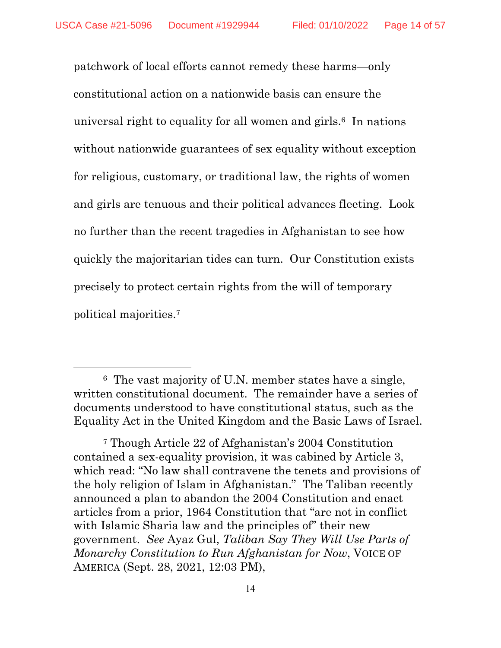patchwork of local efforts cannot remedy these harms—only constitutional action on a nationwide basis can ensure the universal right to equality for all women and girls.6 In nations without nationwide guarantees of sex equality without exception for religious, customary, or traditional law, the rights of women and girls are tenuous and their political advances fleeting. Look no further than the recent tragedies in Afghanistan to see how quickly the majoritarian tides can turn. Our Constitution exists precisely to protect certain rights from the will of temporary political majorities.7

<sup>6</sup> The vast majority of U.N. member states have a single, written constitutional document. The remainder have a series of documents understood to have constitutional status, such as the Equality Act in the United Kingdom and the Basic Laws of Israel.

<sup>7</sup> Though Article 22 of Afghanistan's 2004 Constitution contained a sex-equality provision, it was cabined by Article 3, which read: "No law shall contravene the tenets and provisions of the holy religion of Islam in Afghanistan." The Taliban recently announced a plan to abandon the 2004 Constitution and enact articles from a prior, 1964 Constitution that "are not in conflict with Islamic Sharia law and the principles of their new government. *See* Ayaz Gul, *Taliban Say They Will Use Parts of Monarchy Constitution to Run Afghanistan for Now*, VOICE OF AMERICA (Sept. 28, 2021, 12:03 PM),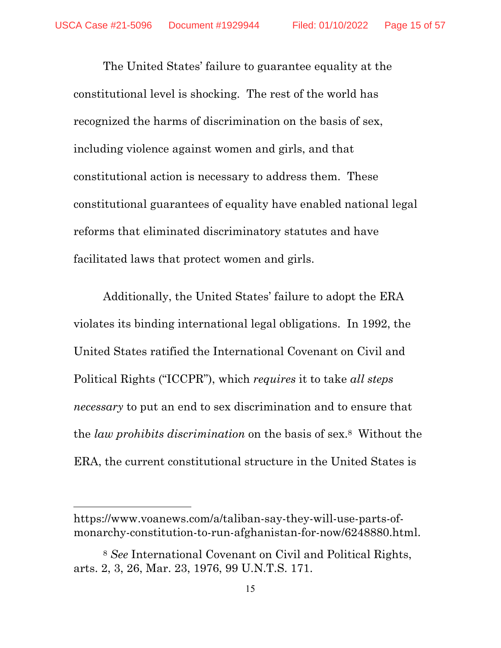The United States' failure to guarantee equality at the constitutional level is shocking. The rest of the world has recognized the harms of discrimination on the basis of sex, including violence against women and girls, and that constitutional action is necessary to address them. These constitutional guarantees of equality have enabled national legal reforms that eliminated discriminatory statutes and have facilitated laws that protect women and girls.

Additionally, the United States' failure to adopt the ERA violates its binding international legal obligations. In 1992, the United States ratified the International Covenant on Civil and Political Rights ("ICCPR"), which *requires* it to take *all steps necessary* to put an end to sex discrimination and to ensure that the *law prohibits discrimination* on the basis of sex.8 Without the ERA, the current constitutional structure in the United States is

https://www.voanews.com/a/taliban-say-they-will-use-parts-ofmonarchy-constitution-to-run-afghanistan-for-now/6248880.html.

<sup>8</sup> *See* International Covenant on Civil and Political Rights, arts. 2, 3, 26, Mar. 23, 1976, 99 U.N.T.S. 171.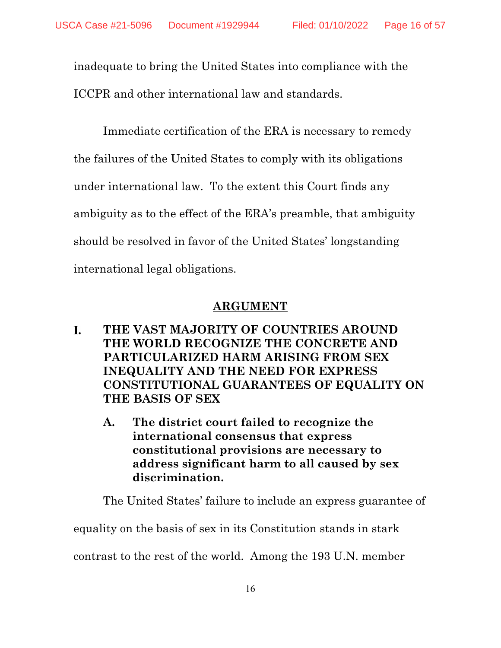inadequate to bring the United States into compliance with the ICCPR and other international law and standards.

Immediate certification of the ERA is necessary to remedy the failures of the United States to comply with its obligations under international law. To the extent this Court finds any ambiguity as to the effect of the ERA's preamble, that ambiguity should be resolved in favor of the United States' longstanding international legal obligations.

## **ARGUMENT**

- L. **THE VAST MAJORITY OF COUNTRIES AROUND THE WORLD RECOGNIZE THE CONCRETE AND PARTICULARIZED HARM ARISING FROM SEX INEQUALITY AND THE NEED FOR EXPRESS CONSTITUTIONAL GUARANTEES OF EQUALITY ON THE BASIS OF SEX** 
	- **A. The district court failed to recognize the international consensus that express constitutional provisions are necessary to address significant harm to all caused by sex discrimination.**

The United States' failure to include an express guarantee of

equality on the basis of sex in its Constitution stands in stark

contrast to the rest of the world. Among the 193 U.N. member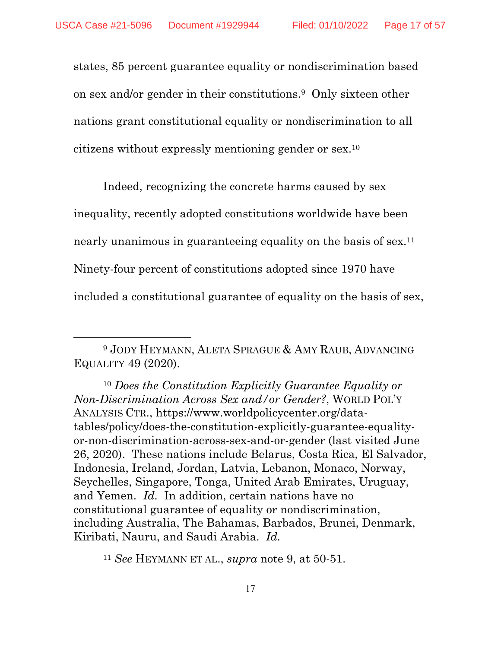$\overline{a}$ 

states, 85 percent guarantee equality or nondiscrimination based on sex and/or gender in their constitutions.9 Only sixteen other nations grant constitutional equality or nondiscrimination to all citizens without expressly mentioning gender or sex.10

Indeed, recognizing the concrete harms caused by sex inequality, recently adopted constitutions worldwide have been nearly unanimous in guaranteeing equality on the basis of sex.<sup>11</sup> Ninety-four percent of constitutions adopted since 1970 have included a constitutional guarantee of equality on the basis of sex,

<sup>10</sup> *Does the Constitution Explicitly Guarantee Equality or Non-Discrimination Across Sex and/or Gender?*, WORLD POL'Y ANALYSIS CTR., https://www.worldpolicycenter.org/datatables/policy/does-the-constitution-explicitly-guarantee-equalityor-non-discrimination-across-sex-and-or-gender (last visited June 26, 2020). These nations include Belarus, Costa Rica, El Salvador, Indonesia, Ireland, Jordan, Latvia, Lebanon, Monaco, Norway, Seychelles, Singapore, Tonga, United Arab Emirates, Uruguay, and Yemen. *Id.* In addition, certain nations have no constitutional guarantee of equality or nondiscrimination, including Australia, The Bahamas, Barbados, Brunei, Denmark, Kiribati, Nauru, and Saudi Arabia. *Id.*

<sup>9</sup> JODY HEYMANN, ALETA SPRAGUE & AMY RAUB, ADVANCING EQUALITY 49 (2020).

<sup>11</sup> *See* HEYMANN ET AL., *supra* note 9, at 50-51.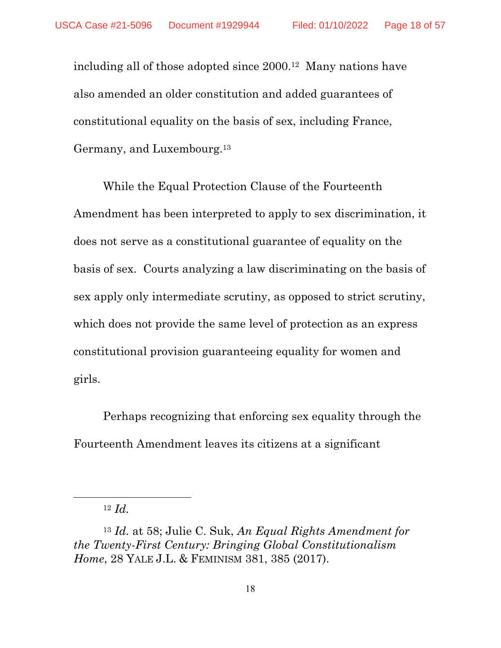including all of those adopted since 2000.12 Many nations have also amended an older constitution and added guarantees of constitutional equality on the basis of sex, including France, Germany, and Luxembourg.13

While the Equal Protection Clause of the Fourteenth Amendment has been interpreted to apply to sex discrimination, it does not serve as a constitutional guarantee of equality on the basis of sex. Courts analyzing a law discriminating on the basis of sex apply only intermediate scrutiny, as opposed to strict scrutiny, which does not provide the same level of protection as an express constitutional provision guaranteeing equality for women and girls.

Perhaps recognizing that enforcing sex equality through the Fourteenth Amendment leaves its citizens at a significant

 $12 \, Id.$ 

<sup>13</sup> *Id.* at 58; Julie C. Suk, *An Equal Rights Amendment for the Twenty-First Century: Bringing Global Constitutionalism Home*, 28 YALE J.L. & FEMINISM 381, 385 (2017).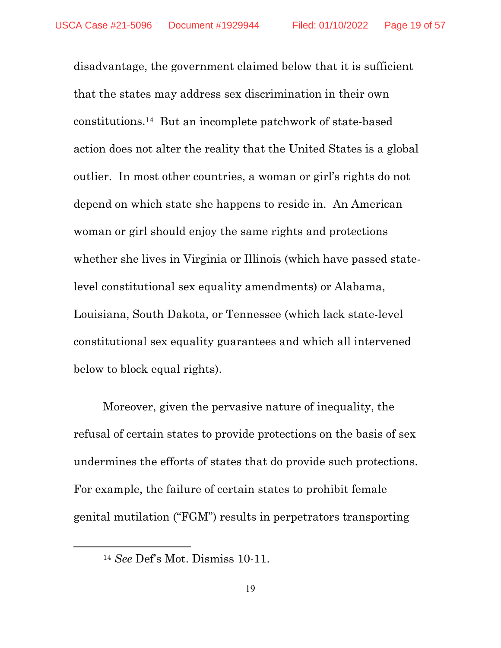disadvantage, the government claimed below that it is sufficient that the states may address sex discrimination in their own constitutions.14 But an incomplete patchwork of state-based action does not alter the reality that the United States is a global outlier. In most other countries, a woman or girl's rights do not depend on which state she happens to reside in. An American woman or girl should enjoy the same rights and protections whether she lives in Virginia or Illinois (which have passed statelevel constitutional sex equality amendments) or Alabama, Louisiana, South Dakota, or Tennessee (which lack state-level constitutional sex equality guarantees and which all intervened below to block equal rights).

Moreover, given the pervasive nature of inequality, the refusal of certain states to provide protections on the basis of sex undermines the efforts of states that do provide such protections. For example, the failure of certain states to prohibit female genital mutilation ("FGM") results in perpetrators transporting

<sup>14</sup> *See* Def's Mot. Dismiss 10-11.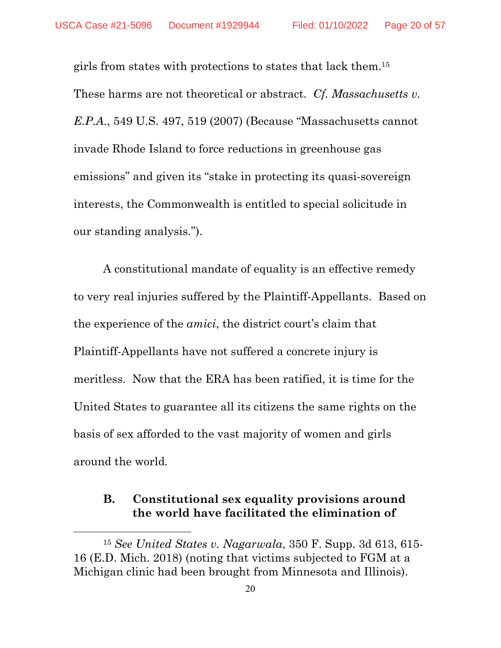girls from states with protections to states that lack them.15 These harms are not theoretical or abstract. *Cf. Massachusetts v. E.P.A.*, 549 U.S. 497, 519 (2007) (Because "Massachusetts cannot invade Rhode Island to force reductions in greenhouse gas emissions" and given its "stake in protecting its quasi-sovereign interests, the Commonwealth is entitled to special solicitude in our standing analysis.").

A constitutional mandate of equality is an effective remedy to very real injuries suffered by the Plaintiff-Appellants. Based on the experience of the *amici*, the district court's claim that Plaintiff-Appellants have not suffered a concrete injury is meritless. Now that the ERA has been ratified, it is time for the United States to guarantee all its citizens the same rights on the basis of sex afforded to the vast majority of women and girls around the world*.*

## **B. Constitutional sex equality provisions around the world have facilitated the elimination of**

<sup>15</sup> *See United States v. Nagarwala*, 350 F. Supp. 3d 613, 615- 16 (E.D. Mich. 2018) (noting that victims subjected to FGM at a Michigan clinic had been brought from Minnesota and Illinois).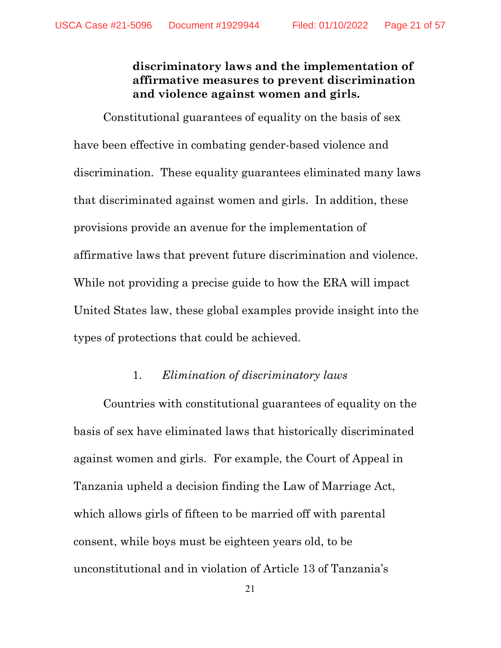## **discriminatory laws and the implementation of affirmative measures to prevent discrimination and violence against women and girls.**

Constitutional guarantees of equality on the basis of sex have been effective in combating gender-based violence and discrimination. These equality guarantees eliminated many laws that discriminated against women and girls. In addition, these provisions provide an avenue for the implementation of affirmative laws that prevent future discrimination and violence. While not providing a precise guide to how the ERA will impact United States law, these global examples provide insight into the types of protections that could be achieved.

#### 1. *Elimination of discriminatory laws*

Countries with constitutional guarantees of equality on the basis of sex have eliminated laws that historically discriminated against women and girls. For example, the Court of Appeal in Tanzania upheld a decision finding the Law of Marriage Act, which allows girls of fifteen to be married off with parental consent, while boys must be eighteen years old, to be unconstitutional and in violation of Article 13 of Tanzania's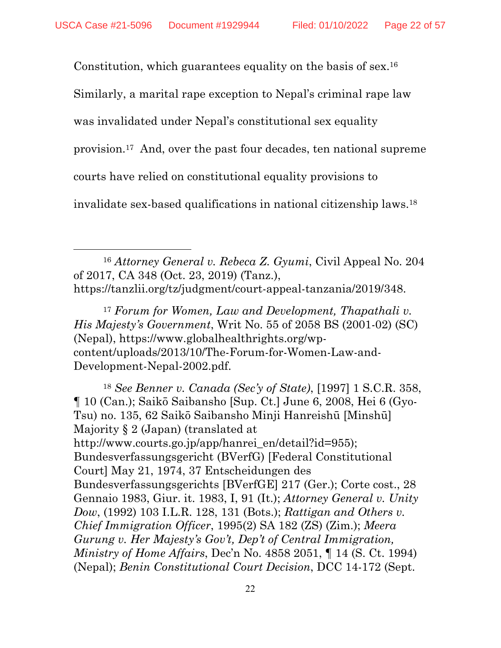Constitution, which guarantees equality on the basis of sex.16

Similarly, a marital rape exception to Nepal's criminal rape law

was invalidated under Nepal's constitutional sex equality

provision.17 And, over the past four decades, ten national supreme

courts have relied on constitutional equality provisions to

 $\overline{a}$ 

invalidate sex-based qualifications in national citizenship laws.18

<sup>16</sup> *Attorney General v. Rebeca Z. Gyumi*, Civil Appeal No. 204 of 2017, CA 348 (Oct. 23, 2019) (Tanz.), https://tanzlii.org/tz/judgment/court-appeal-tanzania/2019/348.

<sup>17</sup> *Forum for Women, Law and Development, Thapathali v. His Majesty's Government*, Writ No. 55 of 2058 BS (2001-02) (SC) (Nepal), https://www.globalhealthrights.org/wpcontent/uploads/2013/10/The-Forum-for-Women-Law-and-Development-Nepal-2002.pdf.

<sup>18</sup> *See Benner v. Canada (Sec'y of State)*, [1997] 1 S.C.R. 358, ¶ 10 (Can.); Saikō Saibansho [Sup. Ct.] June 6, 2008, Hei 6 (Gyo-Tsu) no. 135, 62 Saikō Saibansho Minji Hanreishū [Minshū] Majority § 2 (Japan) (translated at http://www.courts.go.jp/app/hanrei\_en/detail?id=955); Bundesverfassungsgericht (BVerfG) [Federal Constitutional Court] May 21, 1974, 37 Entscheidungen des Bundesverfassungsgerichts [BVerfGE] 217 (Ger.); Corte cost., 28 Gennaio 1983, Giur. it. 1983, I, 91 (It.); *Attorney General v. Unity Dow*, (1992) 103 I.L.R. 128, 131 (Bots.); *Rattigan and Others v. Chief Immigration Officer*, 1995(2) SA 182 (ZS) (Zim.); *Meera Gurung v. Her Majesty's Gov't, Dep't of Central Immigration, Ministry of Home Affairs*, Dec'n No. 4858 2051, ¶ 14 (S. Ct. 1994) (Nepal); *Benin Constitutional Court Decision*, DCC 14-172 (Sept.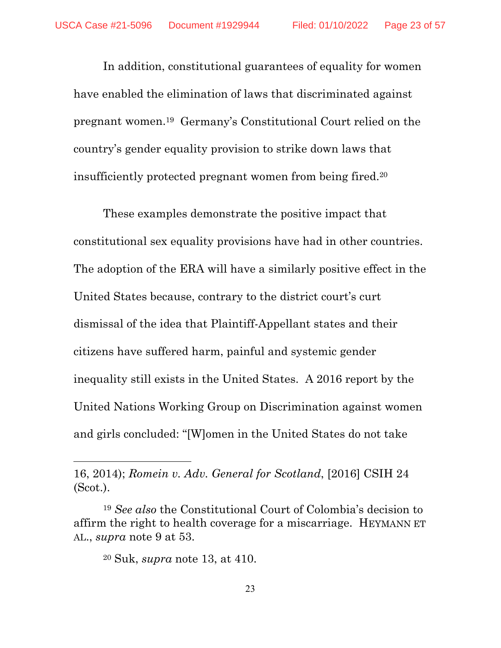In addition, constitutional guarantees of equality for women have enabled the elimination of laws that discriminated against pregnant women.19 Germany's Constitutional Court relied on the country's gender equality provision to strike down laws that insufficiently protected pregnant women from being fired.20

These examples demonstrate the positive impact that constitutional sex equality provisions have had in other countries. The adoption of the ERA will have a similarly positive effect in the United States because, contrary to the district court's curt dismissal of the idea that Plaintiff-Appellant states and their citizens have suffered harm, painful and systemic gender inequality still exists in the United States. A 2016 report by the United Nations Working Group on Discrimination against women and girls concluded: "[W]omen in the United States do not take

<sup>16, 2014);</sup> *Romein v. Adv. General for Scotland*, [2016] CSIH 24 (Scot.).

<sup>19</sup> *See also* the Constitutional Court of Colombia's decision to affirm the right to health coverage for a miscarriage. HEYMANN ET AL., *supra* note 9 at 53.

<sup>20</sup> Suk, *supra* note 13, at 410.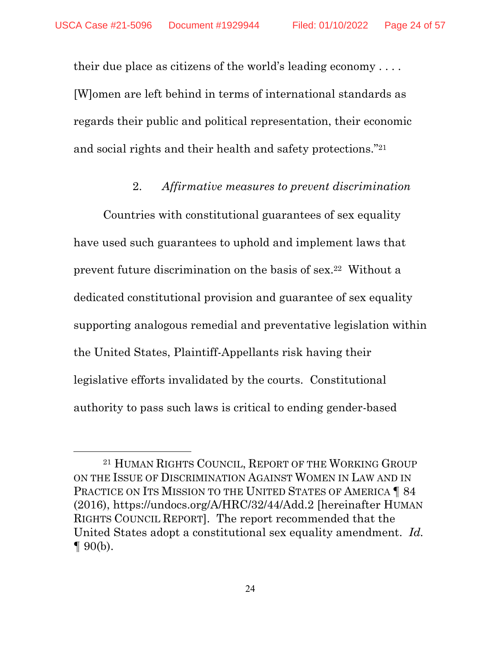$\overline{a}$ 

their due place as citizens of the world's leading economy . . . . [W]omen are left behind in terms of international standards as regards their public and political representation, their economic and social rights and their health and safety protections."21

## 2. *Affirmative measures to prevent discrimination*

Countries with constitutional guarantees of sex equality have used such guarantees to uphold and implement laws that prevent future discrimination on the basis of sex.22 Without a dedicated constitutional provision and guarantee of sex equality supporting analogous remedial and preventative legislation within the United States, Plaintiff-Appellants risk having their legislative efforts invalidated by the courts. Constitutional authority to pass such laws is critical to ending gender-based

<sup>21</sup> HUMAN RIGHTS COUNCIL, REPORT OF THE WORKING GROUP ON THE ISSUE OF DISCRIMINATION AGAINST WOMEN IN LAW AND IN PRACTICE ON ITS MISSION TO THE UNITED STATES OF AMERICA **184** (2016), https://undocs.org/A/HRC/32/44/Add.2 [hereinafter HUMAN RIGHTS COUNCIL REPORT]. The report recommended that the United States adopt a constitutional sex equality amendment. *Id.*   $\P$  90(b).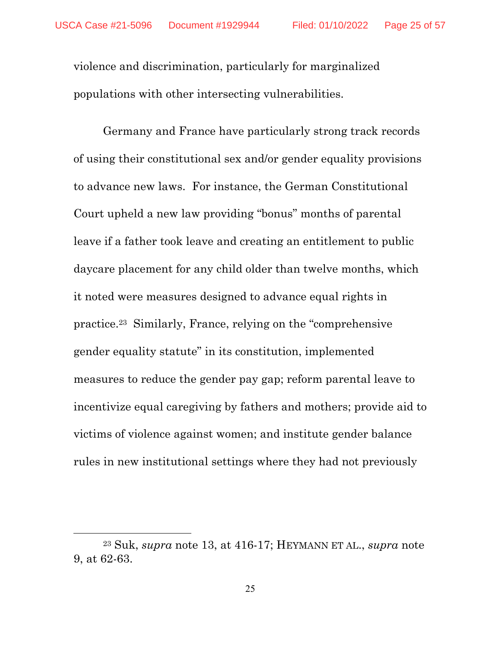violence and discrimination, particularly for marginalized populations with other intersecting vulnerabilities.

Germany and France have particularly strong track records of using their constitutional sex and/or gender equality provisions to advance new laws. For instance, the German Constitutional Court upheld a new law providing "bonus" months of parental leave if a father took leave and creating an entitlement to public daycare placement for any child older than twelve months, which it noted were measures designed to advance equal rights in practice.23 Similarly, France, relying on the "comprehensive gender equality statute" in its constitution, implemented measures to reduce the gender pay gap; reform parental leave to incentivize equal caregiving by fathers and mothers; provide aid to victims of violence against women; and institute gender balance rules in new institutional settings where they had not previously

<sup>23</sup> Suk, *supra* note 13, at 416-17; HEYMANN ET AL., *supra* note 9, at 62-63.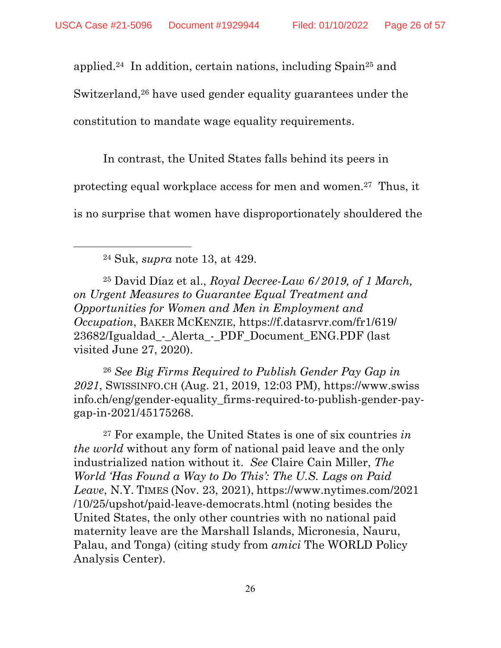applied.24 In addition, certain nations, including Spain25 and

Switzerland,<sup>26</sup> have used gender equality guarantees under the

constitution to mandate wage equality requirements.

In contrast, the United States falls behind its peers in

protecting equal workplace access for men and women.27 Thus, it

is no surprise that women have disproportionately shouldered the

24 Suk, *supra* note 13, at 429.

 $\overline{a}$ 

25 David Díaz et al., *Royal Decree-Law 6/2019, of 1 March, on Urgent Measures to Guarantee Equal Treatment and Opportunities for Women and Men in Employment and Occupation*, BAKER MCKENZIE, https://f.datasrvr.com/fr1/619/ 23682/Igualdad\_-\_Alerta\_-\_PDF\_Document\_ENG.PDF (last visited June 27, 2020).

<sup>26</sup> *See Big Firms Required to Publish Gender Pay Gap in 2021*, SWISSINFO.CH (Aug. 21, 2019, 12:03 PM), https://www.swiss info.ch/eng/gender-equality\_firms-required-to-publish-gender-paygap-in-2021/45175268.

27 For example, the United States is one of six countries *in the world* without any form of national paid leave and the only industrialized nation without it. *See* Claire Cain Miller, *The World 'Has Found a Way to Do This': The U.S. Lags on Paid Leave*, N.Y. TIMES (Nov. 23, 2021), https://www.nytimes.com/2021 /10/25/upshot/paid-leave-democrats.html (noting besides the United States, the only other countries with no national paid maternity leave are the Marshall Islands, Micronesia, Nauru, Palau, and Tonga) (citing study from *amici* The WORLD Policy Analysis Center).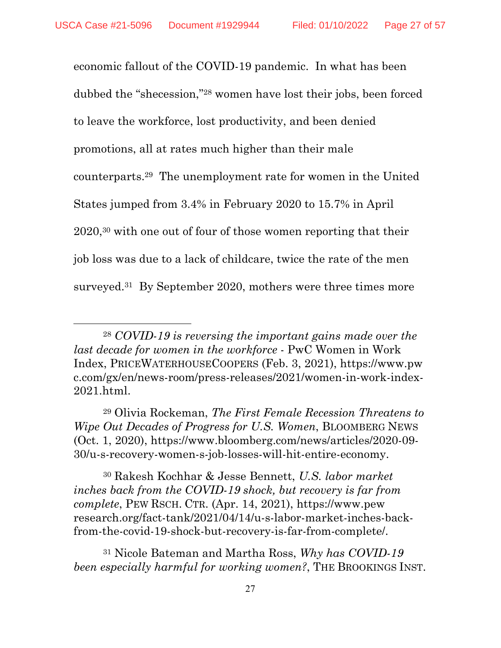$\overline{a}$ 

economic fallout of the COVID-19 pandemic. In what has been dubbed the "shecession,"28 women have lost their jobs, been forced to leave the workforce, lost productivity, and been denied promotions, all at rates much higher than their male counterparts.29 The unemployment rate for women in the United States jumped from 3.4% in February 2020 to 15.7% in April 2020,30 with one out of four of those women reporting that their job loss was due to a lack of childcare, twice the rate of the men surveyed.<sup>31</sup> By September 2020, mothers were three times more

30 Rakesh Kochhar & Jesse Bennett, *U.S. labor market inches back from the COVID-19 shock, but recovery is far from complete*, PEW RSCH. CTR. (Apr. 14, 2021), https://www.pew research.org/fact-tank/2021/04/14/u-s-labor-market-inches-backfrom-the-covid-19-shock-but-recovery-is-far-from-complete/.

31 Nicole Bateman and Martha Ross, *Why has COVID-19 been especially harmful for working women?*, THE BROOKINGS INST.

<sup>28</sup> *COVID-19 is reversing the important gains made over the last decade for women in the workforce* - PwC Women in Work Index, PRICEWATERHOUSECOOPERS (Feb. 3, 2021), https://www.pw c.com/gx/en/news-room/press-releases/2021/women-in-work-index-2021.html.

<sup>29</sup> Olivia Rockeman, *The First Female Recession Threatens to Wipe Out Decades of Progress for U.S. Women*, BLOOMBERG NEWS (Oct. 1, 2020), https://www.bloomberg.com/news/articles/2020-09- 30/u-s-recovery-women-s-job-losses-will-hit-entire-economy.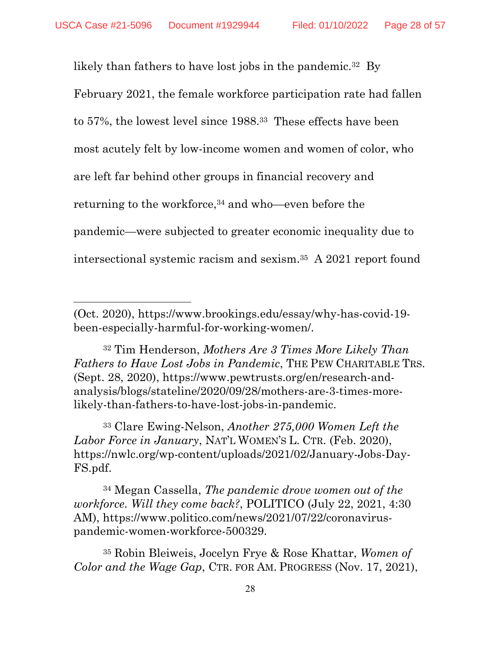$\overline{a}$ 

likely than fathers to have lost jobs in the pandemic.<sup>32</sup> By February 2021, the female workforce participation rate had fallen to 57%, the lowest level since 1988.33 These effects have been most acutely felt by low-income women and women of color, who are left far behind other groups in financial recovery and returning to the workforce,34 and who—even before the pandemic—were subjected to greater economic inequality due to intersectional systemic racism and sexism.35 A 2021 report found

32 Tim Henderson, *Mothers Are 3 Times More Likely Than Fathers to Have Lost Jobs in Pandemic*, THE PEW CHARITABLE TRS. (Sept. 28, 2020), https://www.pewtrusts.org/en/research-andanalysis/blogs/stateline/2020/09/28/mothers-are-3-times-morelikely-than-fathers-to-have-lost-jobs-in-pandemic.

33 Clare Ewing-Nelson, *Another 275,000 Women Left the Labor Force in January*, NAT'L WOMEN'S L. CTR. (Feb. 2020), https://nwlc.org/wp-content/uploads/2021/02/January-Jobs-Day-FS.pdf.

34 Megan Cassella, *The pandemic drove women out of the workforce. Will they come back?*, POLITICO (July 22, 2021, 4:30 AM), https://www.politico.com/news/2021/07/22/coronaviruspandemic-women-workforce-500329.

35 Robin Bleiweis, Jocelyn Frye & Rose Khattar, *Women of Color and the Wage Gap*, CTR. FOR AM. PROGRESS (Nov. 17, 2021),

<sup>(</sup>Oct. 2020), https://www.brookings.edu/essay/why-has-covid-19 been-especially-harmful-for-working-women/.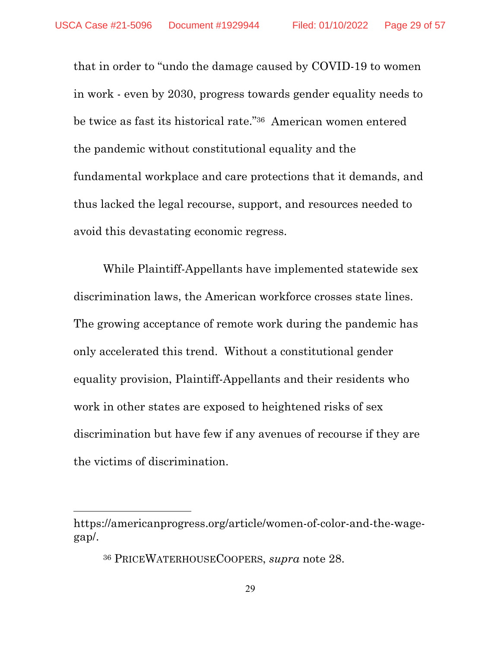that in order to "undo the damage caused by COVID-19 to women in work - even by 2030, progress towards gender equality needs to be twice as fast its historical rate."36 American women entered the pandemic without constitutional equality and the fundamental workplace and care protections that it demands, and thus lacked the legal recourse, support, and resources needed to avoid this devastating economic regress.

While Plaintiff-Appellants have implemented statewide sex discrimination laws, the American workforce crosses state lines. The growing acceptance of remote work during the pandemic has only accelerated this trend. Without a constitutional gender equality provision, Plaintiff-Appellants and their residents who work in other states are exposed to heightened risks of sex discrimination but have few if any avenues of recourse if they are the victims of discrimination.

https://americanprogress.org/article/women-of-color-and-the-wagegap/.

<sup>36</sup> PRICEWATERHOUSECOOPERS, *supra* note 28.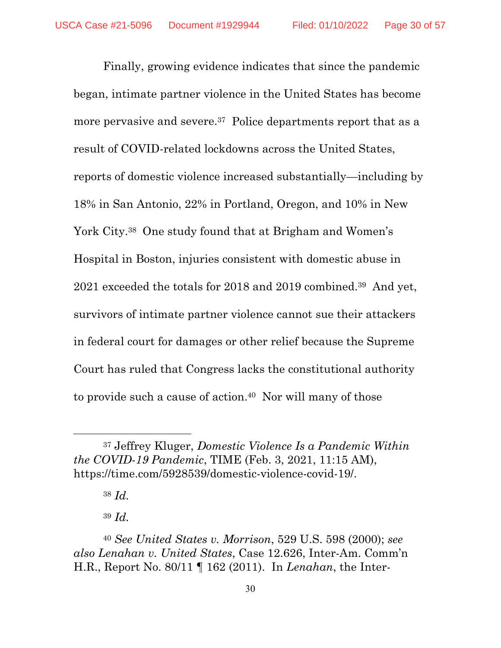Finally, growing evidence indicates that since the pandemic began, intimate partner violence in the United States has become more pervasive and severe.<sup>37</sup> Police departments report that as a result of COVID-related lockdowns across the United States, reports of domestic violence increased substantially—including by 18% in San Antonio, 22% in Portland, Oregon, and 10% in New York City.<sup>38</sup> One study found that at Brigham and Women's Hospital in Boston, injuries consistent with domestic abuse in 2021 exceeded the totals for 2018 and 2019 combined.39 And yet, survivors of intimate partner violence cannot sue their attackers in federal court for damages or other relief because the Supreme Court has ruled that Congress lacks the constitutional authority to provide such a cause of action.40 Nor will many of those

<sup>37</sup> Jeffrey Kluger, *Domestic Violence Is a Pandemic Within the COVID-19 Pandemic*, TIME (Feb. 3, 2021, 11:15 AM), https://time.com/5928539/domestic-violence-covid-19/.

<sup>38</sup> *Id.* 

<sup>39</sup> *Id.* 

<sup>40</sup> *See United States v. Morrison*, 529 U.S. 598 (2000); *see also Lenahan v. United States*, Case 12.626, Inter-Am. Comm'n H.R., Report No. 80/11 ¶ 162 (2011). In *Lenahan*, the Inter-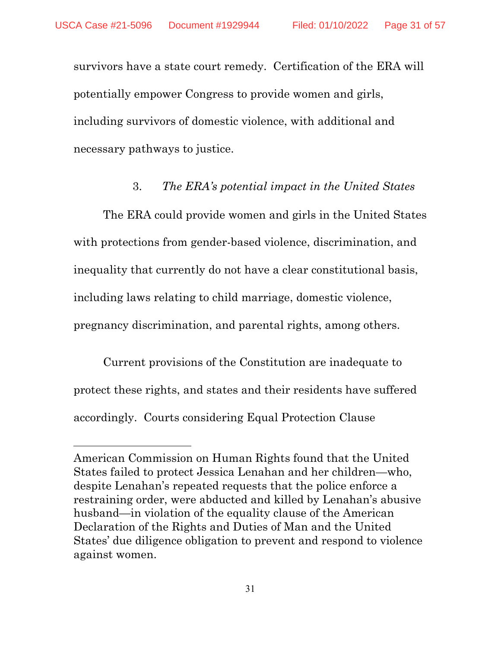$\overline{a}$ 

survivors have a state court remedy. Certification of the ERA will potentially empower Congress to provide women and girls, including survivors of domestic violence, with additional and necessary pathways to justice.

### 3. *The ERA's potential impact in the United States*

The ERA could provide women and girls in the United States with protections from gender-based violence, discrimination, and inequality that currently do not have a clear constitutional basis, including laws relating to child marriage, domestic violence, pregnancy discrimination, and parental rights, among others.

Current provisions of the Constitution are inadequate to protect these rights, and states and their residents have suffered accordingly. Courts considering Equal Protection Clause

American Commission on Human Rights found that the United States failed to protect Jessica Lenahan and her children—who, despite Lenahan's repeated requests that the police enforce a restraining order, were abducted and killed by Lenahan's abusive husband—in violation of the equality clause of the American Declaration of the Rights and Duties of Man and the United States' due diligence obligation to prevent and respond to violence against women.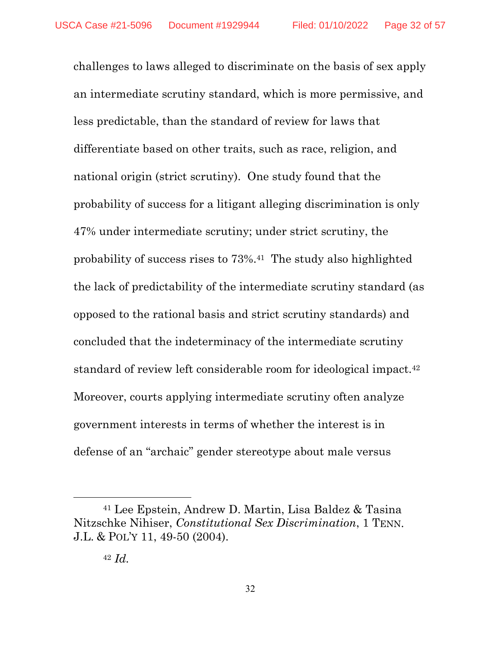challenges to laws alleged to discriminate on the basis of sex apply an intermediate scrutiny standard, which is more permissive, and less predictable, than the standard of review for laws that differentiate based on other traits, such as race, religion, and national origin (strict scrutiny). One study found that the probability of success for a litigant alleging discrimination is only 47% under intermediate scrutiny; under strict scrutiny, the probability of success rises to 73%.41 The study also highlighted the lack of predictability of the intermediate scrutiny standard (as opposed to the rational basis and strict scrutiny standards) and concluded that the indeterminacy of the intermediate scrutiny standard of review left considerable room for ideological impact.42 Moreover, courts applying intermediate scrutiny often analyze government interests in terms of whether the interest is in defense of an "archaic" gender stereotype about male versus

<sup>41</sup> Lee Epstein, Andrew D. Martin, Lisa Baldez & Tasina Nitzschke Nihiser, *Constitutional Sex Discrimination*, 1 TENN. J.L. & POL'Y 11, 49-50 (2004).

<sup>42</sup> *Id.*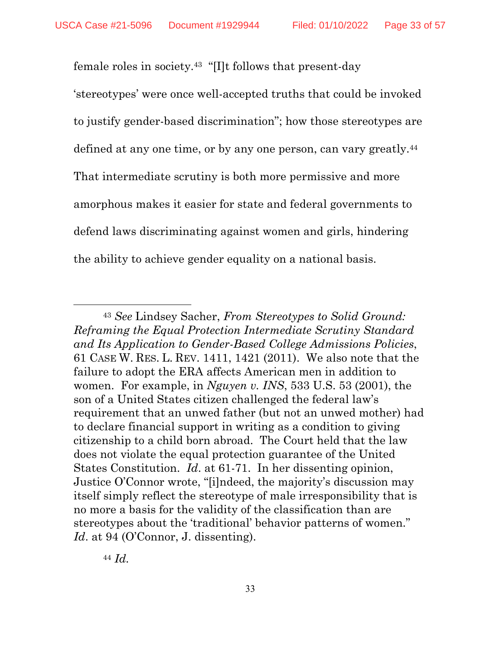female roles in society.43 "[I]t follows that present-day

'stereotypes' were once well-accepted truths that could be invoked to justify gender-based discrimination"; how those stereotypes are defined at any one time, or by any one person, can vary greatly.<sup>44</sup> That intermediate scrutiny is both more permissive and more amorphous makes it easier for state and federal governments to defend laws discriminating against women and girls, hindering the ability to achieve gender equality on a national basis.

<sup>44</sup> *Id.* 

<sup>43</sup> *See* Lindsey Sacher, *From Stereotypes to Solid Ground: Reframing the Equal Protection Intermediate Scrutiny Standard and Its Application to Gender-Based College Admissions Policies*, 61 CASE W. RES. L. REV. 1411, 1421 (2011). We also note that the failure to adopt the ERA affects American men in addition to women. For example, in *Nguyen v. INS*, 533 U.S. 53 (2001), the son of a United States citizen challenged the federal law's requirement that an unwed father (but not an unwed mother) had to declare financial support in writing as a condition to giving citizenship to a child born abroad. The Court held that the law does not violate the equal protection guarantee of the United States Constitution. *Id*. at 61-71. In her dissenting opinion, Justice O'Connor wrote, "[i]ndeed, the majority's discussion may itself simply reflect the stereotype of male irresponsibility that is no more a basis for the validity of the classification than are stereotypes about the 'traditional' behavior patterns of women." Id. at 94 (O'Connor, J. dissenting).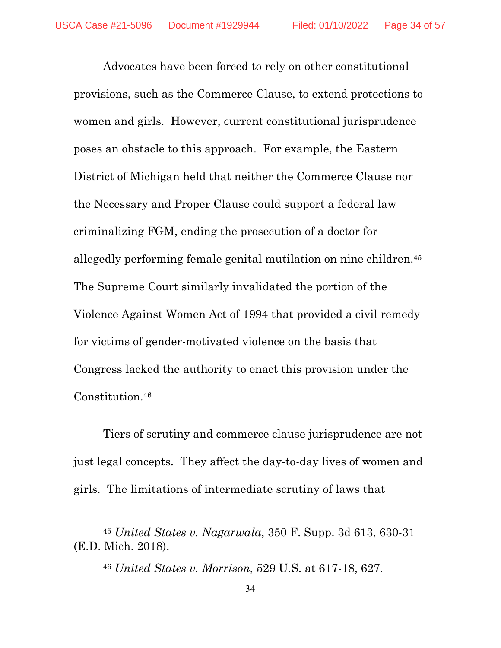Advocates have been forced to rely on other constitutional provisions, such as the Commerce Clause, to extend protections to women and girls. However, current constitutional jurisprudence poses an obstacle to this approach. For example, the Eastern District of Michigan held that neither the Commerce Clause nor the Necessary and Proper Clause could support a federal law criminalizing FGM, ending the prosecution of a doctor for allegedly performing female genital mutilation on nine children.45 The Supreme Court similarly invalidated the portion of the Violence Against Women Act of 1994 that provided a civil remedy for victims of gender-motivated violence on the basis that Congress lacked the authority to enact this provision under the Constitution.46

Tiers of scrutiny and commerce clause jurisprudence are not just legal concepts. They affect the day-to-day lives of women and girls. The limitations of intermediate scrutiny of laws that

<sup>45</sup> *United States v. Nagarwala*, 350 F. Supp. 3d 613, 630-31 (E.D. Mich. 2018).

<sup>46</sup> *United States v. Morrison*, 529 U.S. at 617-18, 627.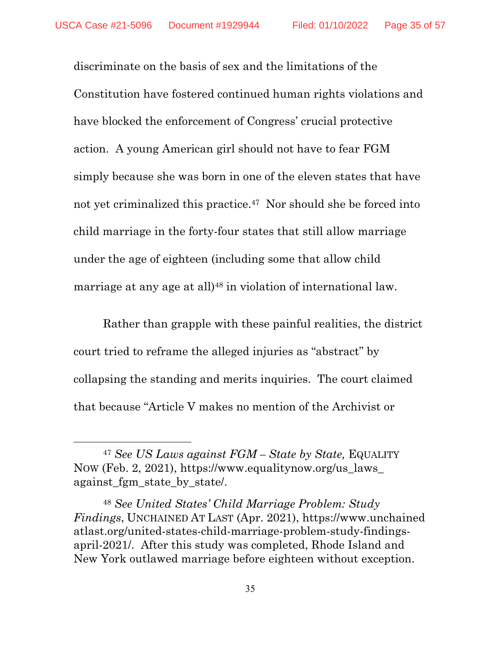$\overline{a}$ 

discriminate on the basis of sex and the limitations of the Constitution have fostered continued human rights violations and have blocked the enforcement of Congress' crucial protective action. A young American girl should not have to fear FGM simply because she was born in one of the eleven states that have not yet criminalized this practice.47 Nor should she be forced into child marriage in the forty-four states that still allow marriage under the age of eighteen (including some that allow child marriage at any age at all)<sup>48</sup> in violation of international law.

Rather than grapple with these painful realities, the district court tried to reframe the alleged injuries as "abstract" by collapsing the standing and merits inquiries. The court claimed that because "Article V makes no mention of the Archivist or

<sup>47</sup> *See US Laws against FGM – State by State,* EQUALITY NOW (Feb. 2, 2021), https://www.equalitynow.org/us\_laws\_ against fgm state by state.

<sup>48</sup> *See United States' Child Marriage Problem: Study Findings*, UNCHAINED AT LAST (Apr. 2021), https://www.unchained atlast.org/united-states-child-marriage-problem-study-findingsapril-2021/. After this study was completed, Rhode Island and New York outlawed marriage before eighteen without exception.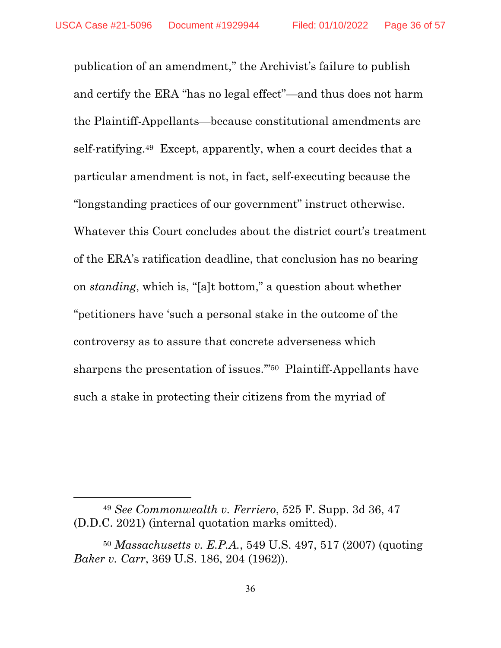publication of an amendment," the Archivist's failure to publish and certify the ERA "has no legal effect"—and thus does not harm the Plaintiff-Appellants—because constitutional amendments are self-ratifying.49 Except, apparently, when a court decides that a particular amendment is not, in fact, self-executing because the "longstanding practices of our government" instruct otherwise. Whatever this Court concludes about the district court's treatment of the ERA's ratification deadline, that conclusion has no bearing on *standing*, which is, "[a]t bottom," a question about whether "petitioners have 'such a personal stake in the outcome of the controversy as to assure that concrete adverseness which sharpens the presentation of issues."<sup>50</sup> Plaintiff-Appellants have such a stake in protecting their citizens from the myriad of

<sup>49</sup> *See Commonwealth v. Ferriero*, 525 F. Supp. 3d 36, 47 (D.D.C. 2021) (internal quotation marks omitted).

<sup>50</sup> *Massachusetts v. E.P.A.*, 549 U.S. 497, 517 (2007) (quoting *Baker v. Carr*, 369 U.S. 186, 204 (1962)).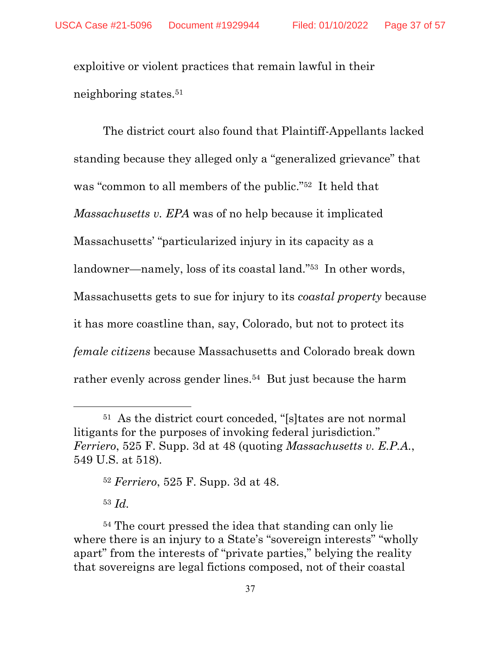exploitive or violent practices that remain lawful in their neighboring states.51

The district court also found that Plaintiff-Appellants lacked standing because they alleged only a "generalized grievance" that was "common to all members of the public."52 It held that *Massachusetts v. EPA* was of no help because it implicated Massachusetts' "particularized injury in its capacity as a landowner—namely, loss of its coastal land."53 In other words, Massachusetts gets to sue for injury to its *coastal property* because it has more coastline than, say, Colorado, but not to protect its *female citizens* because Massachusetts and Colorado break down rather evenly across gender lines.<sup>54</sup> But just because the harm

<sup>51</sup> As the district court conceded, "[s]tates are not normal litigants for the purposes of invoking federal jurisdiction." *Ferriero*, 525 F. Supp. 3d at 48 (quoting *Massachusetts v. E.P.A.*, 549 U.S. at 518).

<sup>52</sup> *Ferriero*, 525 F. Supp. 3d at 48. <sup>53</sup> *Id.*

<sup>54</sup> The court pressed the idea that standing can only lie where there is an injury to a State's "sovereign interests" "wholly apart" from the interests of "private parties," belying the reality that sovereigns are legal fictions composed, not of their coastal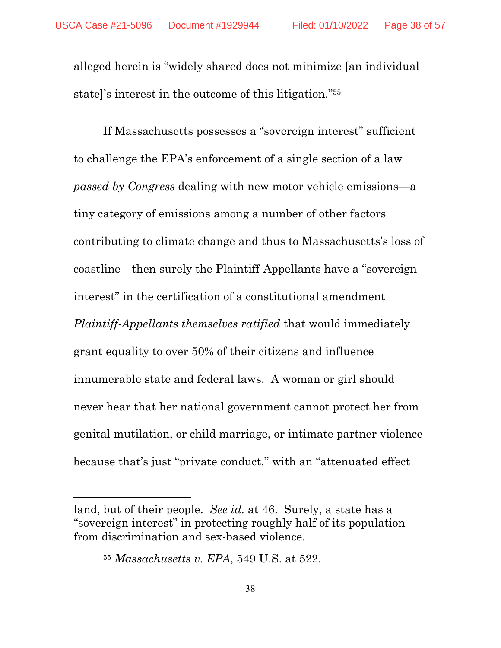alleged herein is "widely shared does not minimize [an individual state]'s interest in the outcome of this litigation."55

If Massachusetts possesses a "sovereign interest" sufficient to challenge the EPA's enforcement of a single section of a law *passed by Congress* dealing with new motor vehicle emissions—a tiny category of emissions among a number of other factors contributing to climate change and thus to Massachusetts's loss of coastline—then surely the Plaintiff-Appellants have a "sovereign interest" in the certification of a constitutional amendment *Plaintiff-Appellants themselves ratified* that would immediately grant equality to over 50% of their citizens and influence innumerable state and federal laws. A woman or girl should never hear that her national government cannot protect her from genital mutilation, or child marriage, or intimate partner violence because that's just "private conduct," with an "attenuated effect

land, but of their people. *See id.* at 46. Surely, a state has a "sovereign interest" in protecting roughly half of its population from discrimination and sex-based violence.

<sup>55</sup> *Massachusetts v. EPA*, 549 U.S. at 522.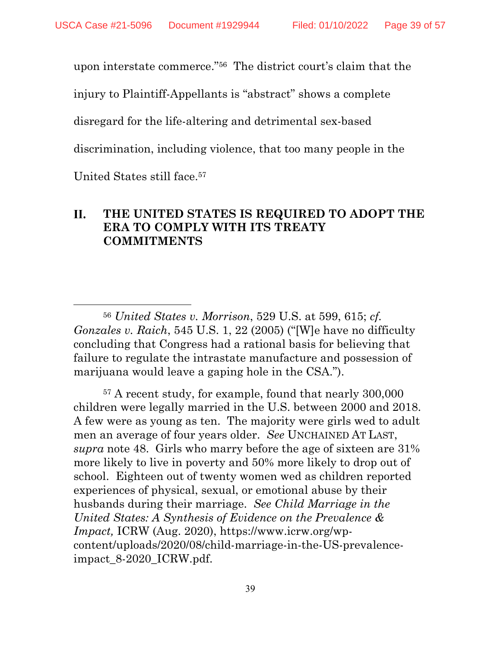upon interstate commerce."56 The district court's claim that the

injury to Plaintiff-Appellants is "abstract" shows a complete

disregard for the life-altering and detrimental sex-based

discrimination, including violence, that too many people in the

United States still face.57

 $\overline{a}$ 

#### **THE UNITED STATES IS REQUIRED TO ADOPT THE**  II. **ERA TO COMPLY WITH ITS TREATY COMMITMENTS**

<sup>56</sup> *United States v. Morrison*, 529 U.S. at 599, 615; *cf. Gonzales v. Raich*, 545 U.S. 1, 22 (2005) ("[W]e have no difficulty concluding that Congress had a rational basis for believing that failure to regulate the intrastate manufacture and possession of marijuana would leave a gaping hole in the CSA.").

57 A recent study, for example, found that nearly 300,000 children were legally married in the U.S. between 2000 and 2018. A few were as young as ten. The majority were girls wed to adult men an average of four years older. *See* UNCHAINED AT LAST, *supra* note 48. Girls who marry before the age of sixteen are 31% more likely to live in poverty and 50% more likely to drop out of school. Eighteen out of twenty women wed as children reported experiences of physical, sexual, or emotional abuse by their husbands during their marriage. *See Child Marriage in the United States: A Synthesis of Evidence on the Prevalence & Impact,* ICRW (Aug. 2020), https://www.icrw.org/wpcontent/uploads/2020/08/child-marriage-in-the-US-prevalenceimpact\_8-2020\_ICRW.pdf.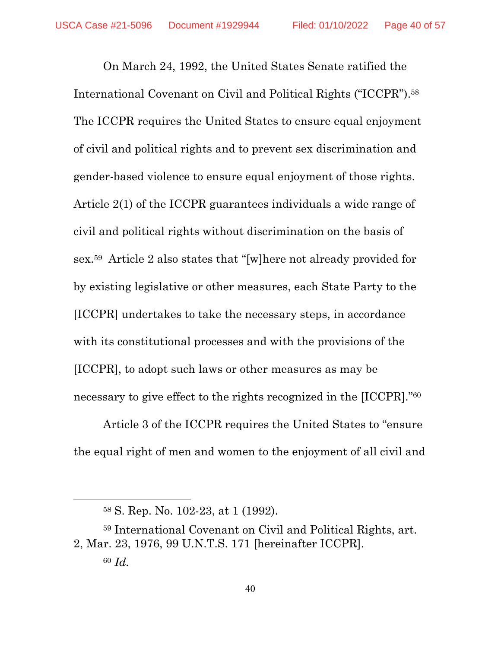On March 24, 1992, the United States Senate ratified the International Covenant on Civil and Political Rights ("ICCPR").58 The ICCPR requires the United States to ensure equal enjoyment of civil and political rights and to prevent sex discrimination and gender-based violence to ensure equal enjoyment of those rights. Article 2(1) of the ICCPR guarantees individuals a wide range of civil and political rights without discrimination on the basis of sex.59 Article 2 also states that "[w]here not already provided for by existing legislative or other measures, each State Party to the [ICCPR] undertakes to take the necessary steps, in accordance with its constitutional processes and with the provisions of the [ICCPR], to adopt such laws or other measures as may be necessary to give effect to the rights recognized in the [ICCPR]."60

Article 3 of the ICCPR requires the United States to "ensure the equal right of men and women to the enjoyment of all civil and

<sup>58</sup> S. Rep. No. 102-23, at 1 (1992).

<sup>59</sup> International Covenant on Civil and Political Rights, art. 2, Mar. 23, 1976, 99 U.N.T.S. 171 [hereinafter ICCPR]. <sup>60</sup> *Id.*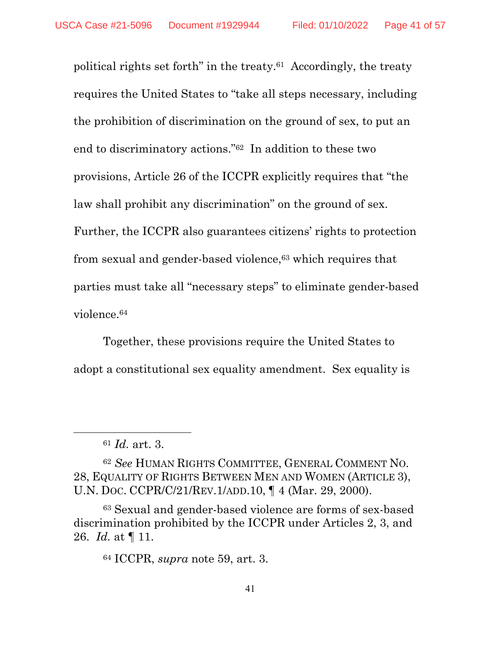political rights set forth" in the treaty.61 Accordingly, the treaty requires the United States to "take all steps necessary, including the prohibition of discrimination on the ground of sex, to put an end to discriminatory actions."62 In addition to these two provisions, Article 26 of the ICCPR explicitly requires that "the law shall prohibit any discrimination" on the ground of sex. Further, the ICCPR also guarantees citizens' rights to protection from sexual and gender-based violence,<sup>63</sup> which requires that parties must take all "necessary steps" to eliminate gender-based violence.64

Together, these provisions require the United States to adopt a constitutional sex equality amendment. Sex equality is

<sup>61</sup> *Id.* art. 3.

<sup>62</sup> *See* HUMAN RIGHTS COMMITTEE, GENERAL COMMENT NO. 28, EQUALITY OF RIGHTS BETWEEN MEN AND WOMEN (ARTICLE 3), U.N. DOC. CCPR/C/21/REV.1/ADD.10, ¶ 4 (Mar. 29, 2000).

<sup>63</sup> Sexual and gender-based violence are forms of sex-based discrimination prohibited by the ICCPR under Articles 2, 3, and 26. *Id.* at ¶ 11.

<sup>64</sup> ICCPR, *supra* note 59, art. 3.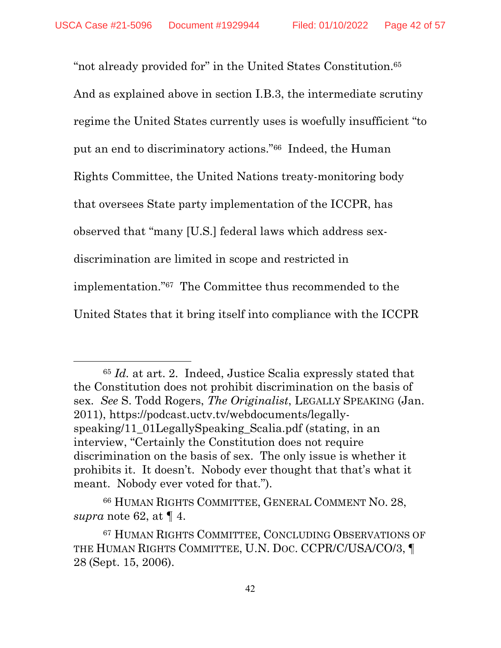$\overline{a}$ 

"not already provided for" in the United States Constitution.65 And as explained above in section I.B.3, the intermediate scrutiny regime the United States currently uses is woefully insufficient "to put an end to discriminatory actions."66 Indeed, the Human Rights Committee, the United Nations treaty-monitoring body that oversees State party implementation of the ICCPR, has observed that "many [U.S.] federal laws which address sexdiscrimination are limited in scope and restricted in implementation."67 The Committee thus recommended to the United States that it bring itself into compliance with the ICCPR

<sup>65</sup> *Id.* at art. 2. Indeed, Justice Scalia expressly stated that the Constitution does not prohibit discrimination on the basis of sex. *See* S. Todd Rogers, *The Originalist*, LEGALLY SPEAKING (Jan. 2011), https://podcast.uctv.tv/webdocuments/legallyspeaking/11\_01LegallySpeaking\_Scalia.pdf (stating, in an interview, "Certainly the Constitution does not require discrimination on the basis of sex. The only issue is whether it prohibits it. It doesn't. Nobody ever thought that that's what it meant. Nobody ever voted for that.").

<sup>66</sup> HUMAN RIGHTS COMMITTEE, GENERAL COMMENT NO. 28, *supra* note 62, at ¶ 4.

<sup>67</sup> HUMAN RIGHTS COMMITTEE, CONCLUDING OBSERVATIONS OF THE HUMAN RIGHTS COMMITTEE, U.N. DOC. CCPR/C/USA/CO/3, ¶ 28 (Sept. 15, 2006).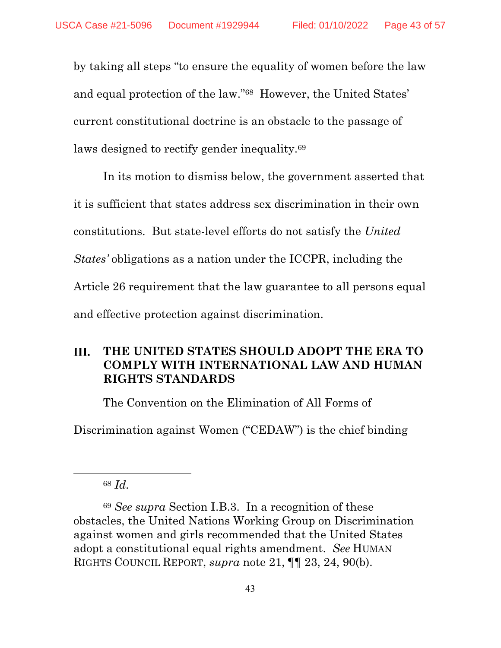by taking all steps "to ensure the equality of women before the law and equal protection of the law."68 However, the United States' current constitutional doctrine is an obstacle to the passage of laws designed to rectify gender inequality.<sup>69</sup>

In its motion to dismiss below, the government asserted that it is sufficient that states address sex discrimination in their own constitutions. But state-level efforts do not satisfy the *United States'* obligations as a nation under the ICCPR, including the Article 26 requirement that the law guarantee to all persons equal and effective protection against discrimination.

#### III. **THE UNITED STATES SHOULD ADOPT THE ERA TO COMPLY WITH INTERNATIONAL LAW AND HUMAN RIGHTS STANDARDS**

The Convention on the Elimination of All Forms of

Discrimination against Women ("CEDAW") is the chief binding

<sup>68</sup> *Id.*

<sup>69</sup> *See supra* Section I.B.3. In a recognition of these obstacles, the United Nations Working Group on Discrimination against women and girls recommended that the United States adopt a constitutional equal rights amendment. *See* HUMAN RIGHTS COUNCIL REPORT, *supra* note 21, ¶¶ 23, 24, 90(b).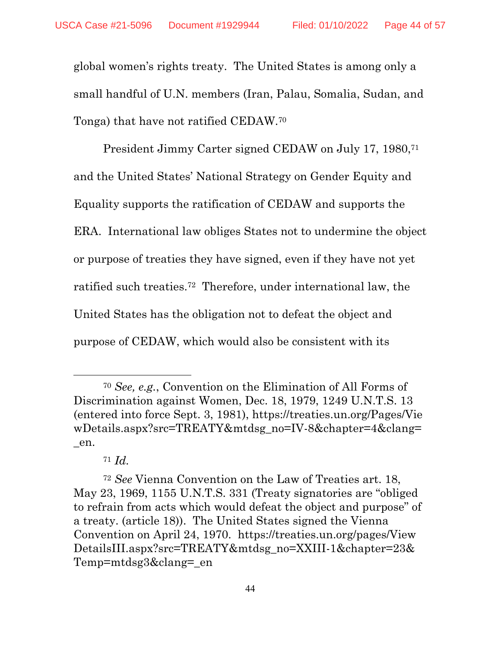global women's rights treaty. The United States is among only a small handful of U.N. members (Iran, Palau, Somalia, Sudan, and Tonga) that have not ratified CEDAW.70

President Jimmy Carter signed CEDAW on July 17, 1980,<sup>71</sup> and the United States' National Strategy on Gender Equity and Equality supports the ratification of CEDAW and supports the ERA. International law obliges States not to undermine the object or purpose of treaties they have signed, even if they have not yet ratified such treaties.72 Therefore, under international law, the United States has the obligation not to defeat the object and purpose of CEDAW, which would also be consistent with its

<sup>70</sup> *See, e.g.*, Convention on the Elimination of All Forms of Discrimination against Women, Dec. 18, 1979, 1249 U.N.T.S. 13 (entered into force Sept. 3, 1981), https://treaties.un.org/Pages/Vie wDetails.aspx?src=TREATY&mtdsg\_no=IV-8&chapter=4&clang= \_en.

<sup>71</sup> *Id.*

<sup>72</sup> *See* Vienna Convention on the Law of Treaties art. 18, May 23, 1969, 1155 U.N.T.S. 331 (Treaty signatories are "obliged to refrain from acts which would defeat the object and purpose" of a treaty. (article 18)). The United States signed the Vienna Convention on April 24, 1970. https://treaties.un.org/pages/View DetailsIII.aspx?src=TREATY&mtdsg\_no=XXIII-1&chapter=23& Temp=mtdsg3&clang=\_en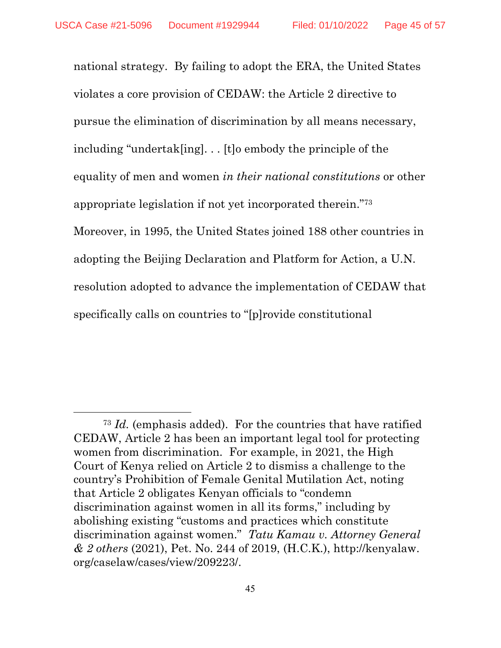$\overline{a}$ 

national strategy. By failing to adopt the ERA, the United States violates a core provision of CEDAW: the Article 2 directive to pursue the elimination of discrimination by all means necessary, including "undertak[ing]. . . [t]o embody the principle of the equality of men and women *in their national constitutions* or other appropriate legislation if not yet incorporated therein."73 Moreover, in 1995, the United States joined 188 other countries in adopting the Beijing Declaration and Platform for Action, a U.N. resolution adopted to advance the implementation of CEDAW that specifically calls on countries to "[p]rovide constitutional

<sup>73</sup> *Id.* (emphasis added). For the countries that have ratified CEDAW, Article 2 has been an important legal tool for protecting women from discrimination. For example, in 2021, the High Court of Kenya relied on Article 2 to dismiss a challenge to the country's Prohibition of Female Genital Mutilation Act, noting that Article 2 obligates Kenyan officials to "condemn discrimination against women in all its forms," including by abolishing existing "customs and practices which constitute discrimination against women." *Tatu Kamau v. Attorney General & 2 others* (2021), Pet. No. 244 of 2019, (H.C.K.), http://kenyalaw. org/caselaw/cases/view/209223/.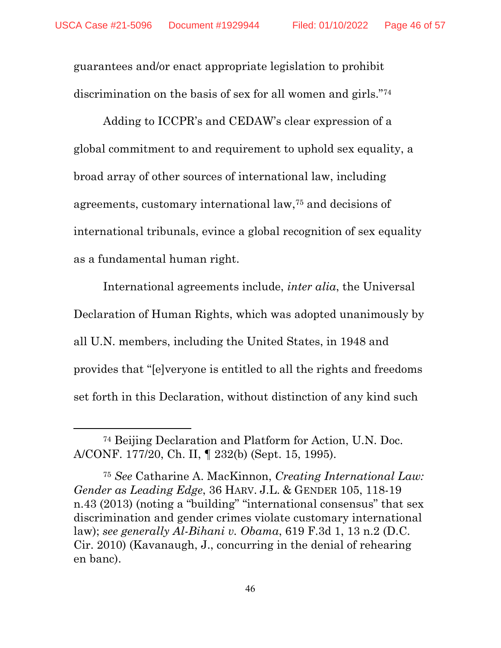guarantees and/or enact appropriate legislation to prohibit discrimination on the basis of sex for all women and girls."<sup>74</sup>

Adding to ICCPR's and CEDAW's clear expression of a global commitment to and requirement to uphold sex equality, a broad array of other sources of international law, including agreements, customary international law,75 and decisions of international tribunals, evince a global recognition of sex equality as a fundamental human right.

International agreements include, *inter alia*, the Universal Declaration of Human Rights, which was adopted unanimously by all U.N. members, including the United States, in 1948 and provides that "[e]veryone is entitled to all the rights and freedoms set forth in this Declaration, without distinction of any kind such

<sup>74</sup> Beijing Declaration and Platform for Action, U.N. Doc. A/CONF. 177/20, Ch. II, ¶ 232(b) (Sept. 15, 1995).

<sup>75</sup> *See* Catharine A. MacKinnon, *Creating International Law: Gender as Leading Edge*, 36 HARV. J.L. & GENDER 105, 118-19 n.43 (2013) (noting a "building" "international consensus" that sex discrimination and gender crimes violate customary international law); *see generally Al-Bihani v. Obama*, 619 F.3d 1, 13 n.2 (D.C. Cir. 2010) (Kavanaugh, J., concurring in the denial of rehearing en banc).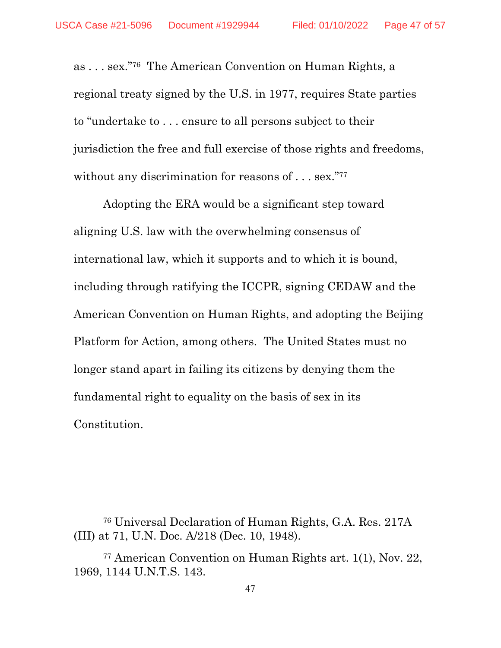as . . . sex."76 The American Convention on Human Rights, a regional treaty signed by the U.S. in 1977, requires State parties to "undertake to . . . ensure to all persons subject to their jurisdiction the free and full exercise of those rights and freedoms, without any discrimination for reasons of . . . sex."<sup>77</sup>

Adopting the ERA would be a significant step toward aligning U.S. law with the overwhelming consensus of international law, which it supports and to which it is bound, including through ratifying the ICCPR, signing CEDAW and the American Convention on Human Rights, and adopting the Beijing Platform for Action, among others. The United States must no longer stand apart in failing its citizens by denying them the fundamental right to equality on the basis of sex in its Constitution.

<sup>76</sup> Universal Declaration of Human Rights, G.A. Res. 217A (III) at 71, U.N. Doc. A/218 (Dec. 10, 1948).

<sup>77</sup> American Convention on Human Rights art. 1(1), Nov. 22, 1969, 1144 U.N.T.S. 143.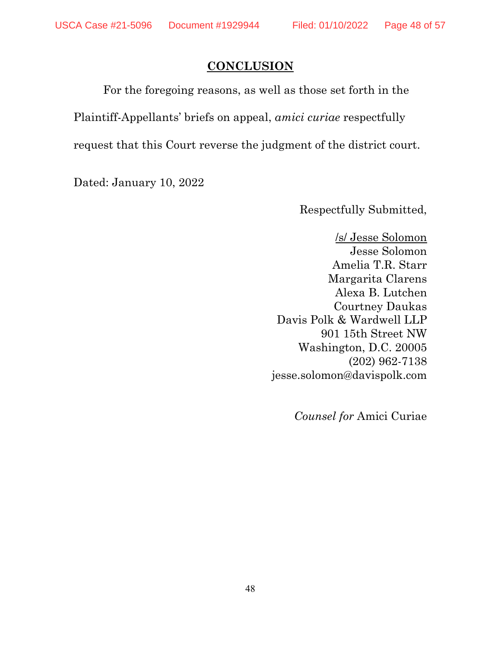### **CONCLUSION**

For the foregoing reasons, as well as those set forth in the Plaintiff-Appellants' briefs on appeal, *amici curiae* respectfully request that this Court reverse the judgment of the district court.

Dated: January 10, 2022

Respectfully Submitted,

/s/ Jesse Solomon Jesse Solomon Amelia T.R. Starr Margarita Clarens Alexa B. Lutchen Courtney Daukas Davis Polk & Wardwell LLP 901 15th Street NW Washington, D.C. 20005 (202) 962-7138 jesse.solomon@davispolk.com

*Counsel for* Amici Curiae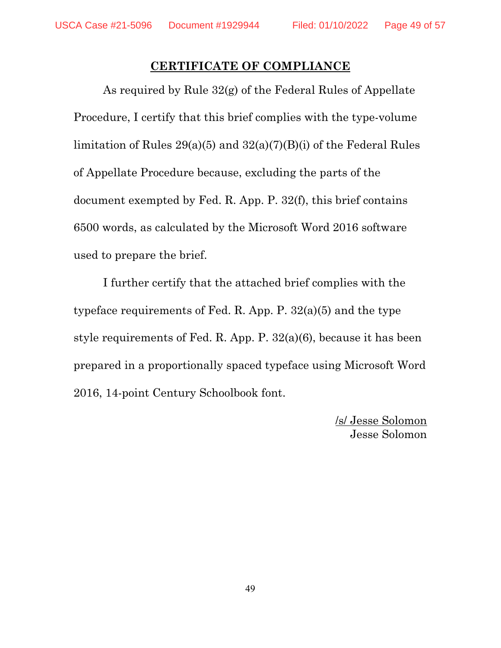### **CERTIFICATE OF COMPLIANCE**

As required by Rule 32(g) of the Federal Rules of Appellate Procedure, I certify that this brief complies with the type-volume limitation of Rules 29(a)(5) and 32(a)(7)(B)(i) of the Federal Rules of Appellate Procedure because, excluding the parts of the document exempted by Fed. R. App. P. 32(f), this brief contains 6500 words, as calculated by the Microsoft Word 2016 software used to prepare the brief.

I further certify that the attached brief complies with the typeface requirements of Fed. R. App. P. 32(a)(5) and the type style requirements of Fed. R. App. P. 32(a)(6), because it has been prepared in a proportionally spaced typeface using Microsoft Word 2016, 14-point Century Schoolbook font.

> /s/ Jesse Solomon Jesse Solomon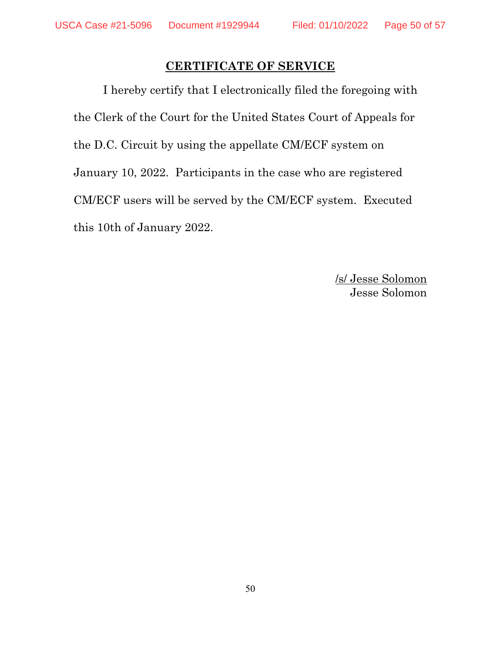## **CERTIFICATE OF SERVICE**

I hereby certify that I electronically filed the foregoing with the Clerk of the Court for the United States Court of Appeals for the D.C. Circuit by using the appellate CM/ECF system on January 10, 2022. Participants in the case who are registered CM/ECF users will be served by the CM/ECF system. Executed this 10th of January 2022.

> /s/ Jesse Solomon Jesse Solomon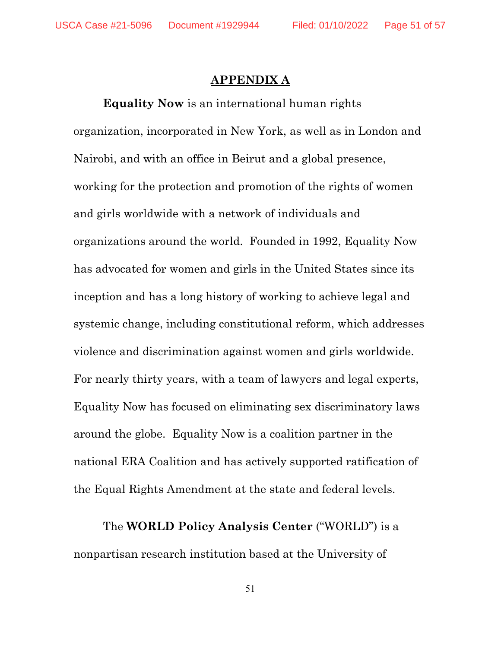#### **APPENDIX A**

**Equality Now** is an international human rights organization, incorporated in New York, as well as in London and Nairobi, and with an office in Beirut and a global presence, working for the protection and promotion of the rights of women and girls worldwide with a network of individuals and organizations around the world. Founded in 1992, Equality Now has advocated for women and girls in the United States since its inception and has a long history of working to achieve legal and systemic change, including constitutional reform, which addresses violence and discrimination against women and girls worldwide. For nearly thirty years, with a team of lawyers and legal experts, Equality Now has focused on eliminating sex discriminatory laws around the globe. Equality Now is a coalition partner in the national ERA Coalition and has actively supported ratification of the Equal Rights Amendment at the state and federal levels.

The **WORLD Policy Analysis Center** ("WORLD") is a nonpartisan research institution based at the University of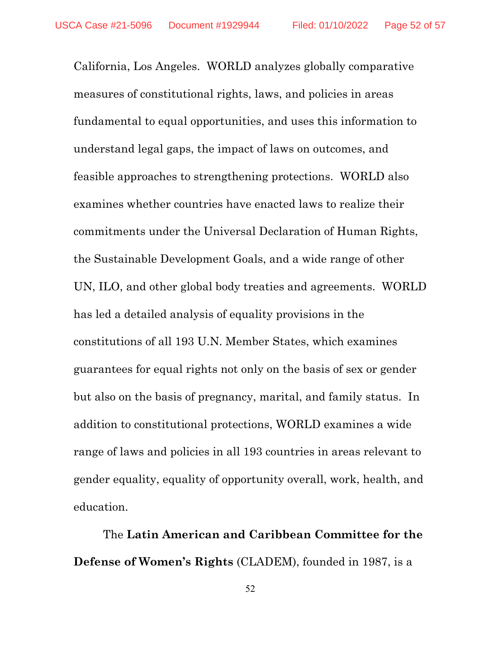California, Los Angeles. WORLD analyzes globally comparative measures of constitutional rights, laws, and policies in areas fundamental to equal opportunities, and uses this information to understand legal gaps, the impact of laws on outcomes, and feasible approaches to strengthening protections. WORLD also examines whether countries have enacted laws to realize their commitments under the Universal Declaration of Human Rights, the Sustainable Development Goals, and a wide range of other UN, ILO, and other global body treaties and agreements. WORLD has led a detailed analysis of equality provisions in the constitutions of all 193 U.N. Member States, which examines guarantees for equal rights not only on the basis of sex or gender but also on the basis of pregnancy, marital, and family status. In addition to constitutional protections, WORLD examines a wide range of laws and policies in all 193 countries in areas relevant to gender equality, equality of opportunity overall, work, health, and education.

The **Latin American and Caribbean Committee for the Defense of Women's Rights** (CLADEM), founded in 1987, is a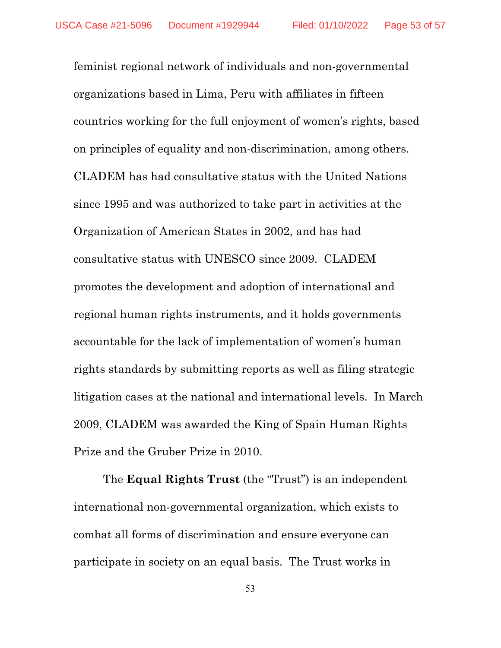feminist regional network of individuals and non-governmental organizations based in Lima, Peru with affiliates in fifteen countries working for the full enjoyment of women's rights, based on principles of equality and non-discrimination, among others. CLADEM has had consultative status with the United Nations since 1995 and was authorized to take part in activities at the Organization of American States in 2002, and has had consultative status with UNESCO since 2009. CLADEM promotes the development and adoption of international and regional human rights instruments, and it holds governments accountable for the lack of implementation of women's human rights standards by submitting reports as well as filing strategic litigation cases at the national and international levels. In March 2009, CLADEM was awarded the King of Spain Human Rights Prize and the Gruber Prize in 2010.

The **Equal Rights Trust** (the "Trust") is an independent international non-governmental organization, which exists to combat all forms of discrimination and ensure everyone can participate in society on an equal basis. The Trust works in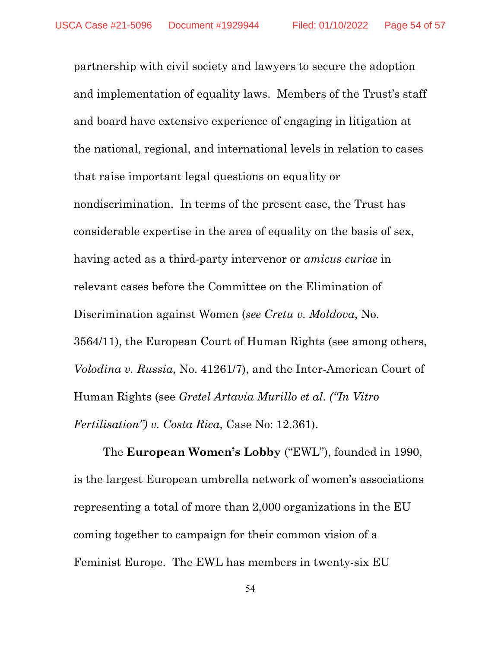partnership with civil society and lawyers to secure the adoption and implementation of equality laws. Members of the Trust's staff and board have extensive experience of engaging in litigation at the national, regional, and international levels in relation to cases that raise important legal questions on equality or nondiscrimination. In terms of the present case, the Trust has considerable expertise in the area of equality on the basis of sex, having acted as a third-party intervenor or *amicus curiae* in relevant cases before the Committee on the Elimination of Discrimination against Women (*see Cretu v. Moldova*, No. 3564/11), the European Court of Human Rights (see among others, *Volodina v. Russia*, No. 41261/7), and the Inter-American Court of Human Rights (see *Gretel Artavia Murillo et al. ("In Vitro Fertilisation") v. Costa Rica*, Case No: 12.361).

The **European Women's Lobby** ("EWL"), founded in 1990, is the largest European umbrella network of women's associations representing a total of more than 2,000 organizations in the EU coming together to campaign for their common vision of a Feminist Europe. The EWL has members in twenty-six EU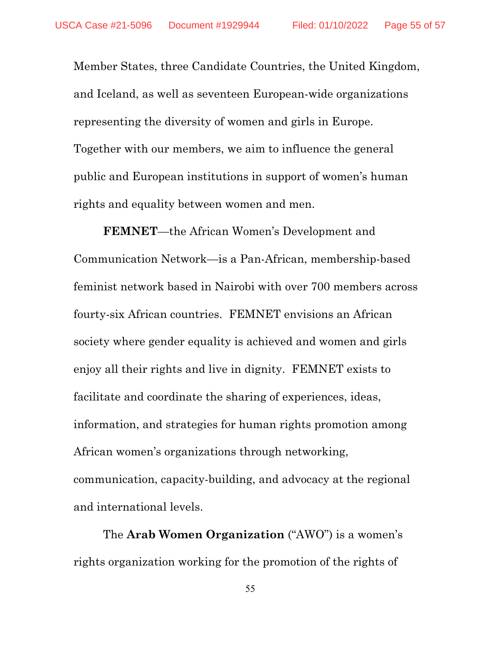Member States, three Candidate Countries, the United Kingdom, and Iceland, as well as seventeen European-wide organizations representing the diversity of women and girls in Europe. Together with our members, we aim to influence the general public and European institutions in support of women's human rights and equality between women and men.

**FEMNET**—the African Women's Development and Communication Network—is a Pan-African, membership-based feminist network based in Nairobi with over 700 members across fourty-six African countries. FEMNET envisions an African society where gender equality is achieved and women and girls enjoy all their rights and live in dignity. FEMNET exists to facilitate and coordinate the sharing of experiences, ideas, information, and strategies for human rights promotion among African women's organizations through networking, communication, capacity-building, and advocacy at the regional and international levels.

The **Arab Women Organization** ("AWO") is a women's rights organization working for the promotion of the rights of

55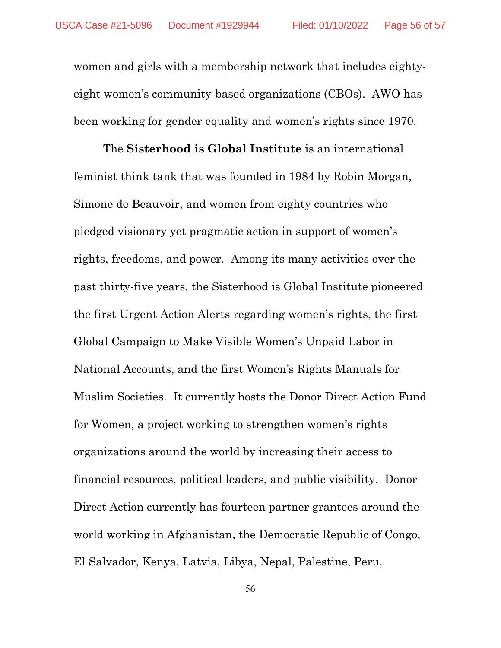women and girls with a membership network that includes eightyeight women's community-based organizations (CBOs). AWO has been working for gender equality and women's rights since 1970.

The **Sisterhood is Global Institute** is an international feminist think tank that was founded in 1984 by Robin Morgan, Simone de Beauvoir, and women from eighty countries who pledged visionary yet pragmatic action in support of women's rights, freedoms, and power. Among its many activities over the past thirty-five years, the Sisterhood is Global Institute pioneered the first Urgent Action Alerts regarding women's rights, the first Global Campaign to Make Visible Women's Unpaid Labor in National Accounts, and the first Women's Rights Manuals for Muslim Societies. It currently hosts the Donor Direct Action Fund for Women, a project working to strengthen women's rights organizations around the world by increasing their access to financial resources, political leaders, and public visibility. Donor Direct Action currently has fourteen partner grantees around the world working in Afghanistan, the Democratic Republic of Congo, El Salvador, Kenya, Latvia, Libya, Nepal, Palestine, Peru,